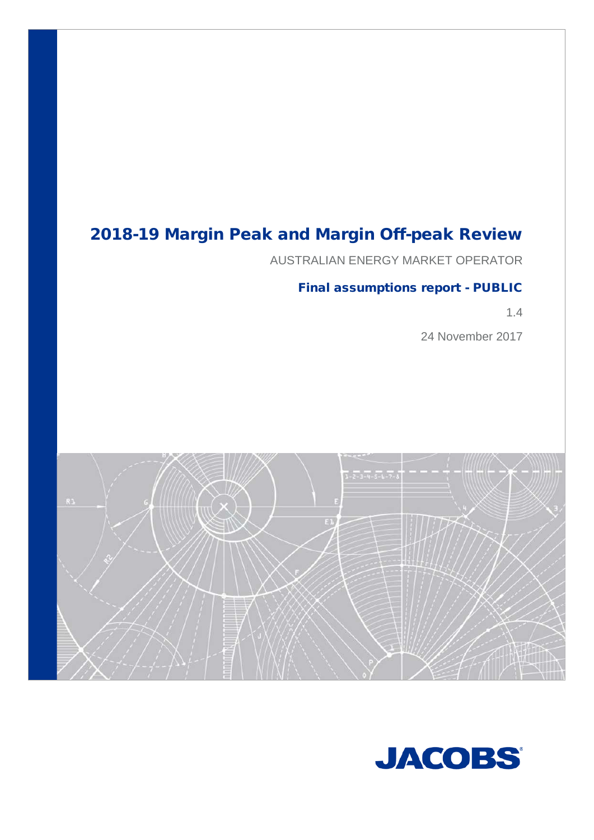# 2018-19 Margin Peak and Margin Off-peak Review

AUSTRALIAN ENERGY MARKET OPERATOR

## Final assumptions report - PUBLIC

1.4

24 November 2017



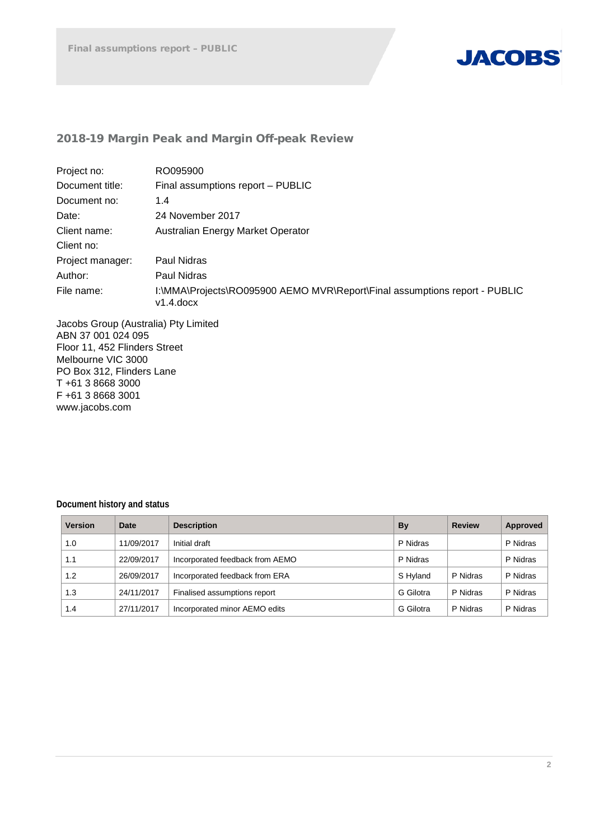

## 2018-19 Margin Peak and Margin Off-peak Review

| RO095900                                                                                   |
|--------------------------------------------------------------------------------------------|
| Final assumptions report - PUBLIC                                                          |
| 1.4                                                                                        |
| 24 November 2017                                                                           |
| Australian Energy Market Operator                                                          |
|                                                                                            |
| Paul Nidras                                                                                |
| Paul Nidras                                                                                |
| I:\MMA\Projects\RO095900 AEMO MVR\Report\Final assumptions report - PUBLIC<br>$V1.4$ .docx |
|                                                                                            |

Jacobs Group (Australia) Pty Limited ABN 37 001 024 095 Floor 11, 452 Flinders Street Melbourne VIC 3000 PO Box 312, Flinders Lane T +61 3 8668 3000 F +61 3 8668 3001 www.jacobs.com

#### **Document history and status**

| <b>Version</b> | <b>Date</b> | <b>Description</b>              | By        | <b>Review</b> | Approved |
|----------------|-------------|---------------------------------|-----------|---------------|----------|
| 1.0            | 11/09/2017  | Initial draft                   | P Nidras  |               | P Nidras |
| 1.1            | 22/09/2017  | Incorporated feedback from AEMO | P Nidras  |               | P Nidras |
| 1.2            | 26/09/2017  | Incorporated feedback from ERA  | S Hyland  | P Nidras      | P Nidras |
| 1.3            | 24/11/2017  | Finalised assumptions report    | G Gilotra | P Nidras      | P Nidras |
| 1.4            | 27/11/2017  | Incorporated minor AEMO edits   | G Gilotra | P Nidras      | P Nidras |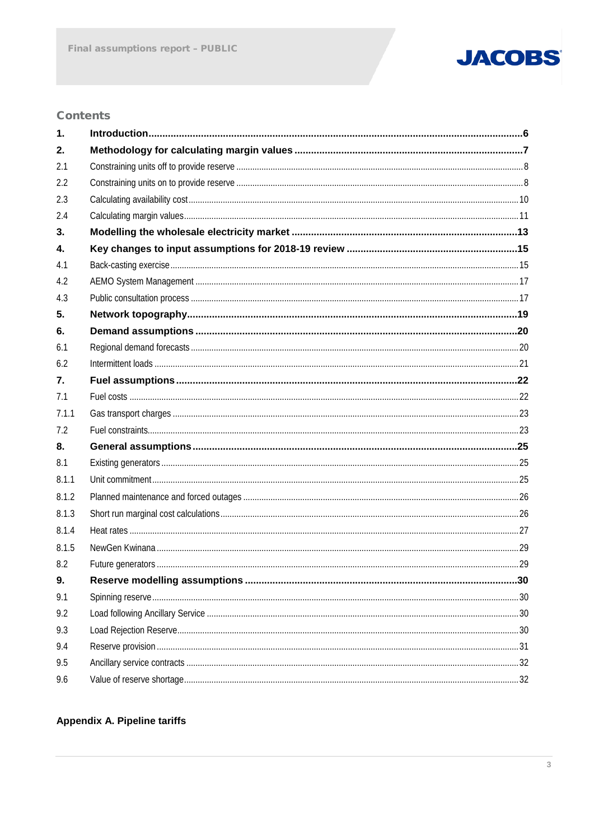

## **Contents**

| 1.    |  |
|-------|--|
| 2.    |  |
| 2.1   |  |
| 2.2   |  |
| 2.3   |  |
| 2.4   |  |
| 3.    |  |
| 4.    |  |
| 4.1   |  |
| 4.2   |  |
| 4.3   |  |
| 5.    |  |
| 6.    |  |
| 6.1   |  |
| 6.2   |  |
| 7.    |  |
| 7.1   |  |
| 7.1.1 |  |
| 7.2   |  |
| 8.    |  |
| 8.1   |  |
| 8.1.1 |  |
| 8.1.2 |  |
| 8.1.3 |  |
| 8.1.4 |  |
| 8.1.5 |  |
| 8.2   |  |
| 9.    |  |
| 9.1   |  |
| 9.2   |  |
| 9.3   |  |
| 9.4   |  |
| 9.5   |  |
| 9.6   |  |
|       |  |

## Appendix A. Pipeline tariffs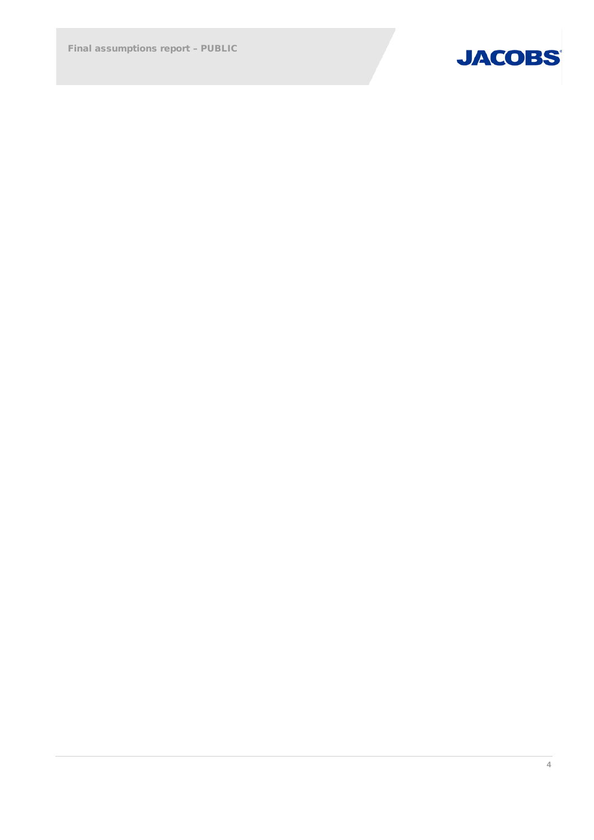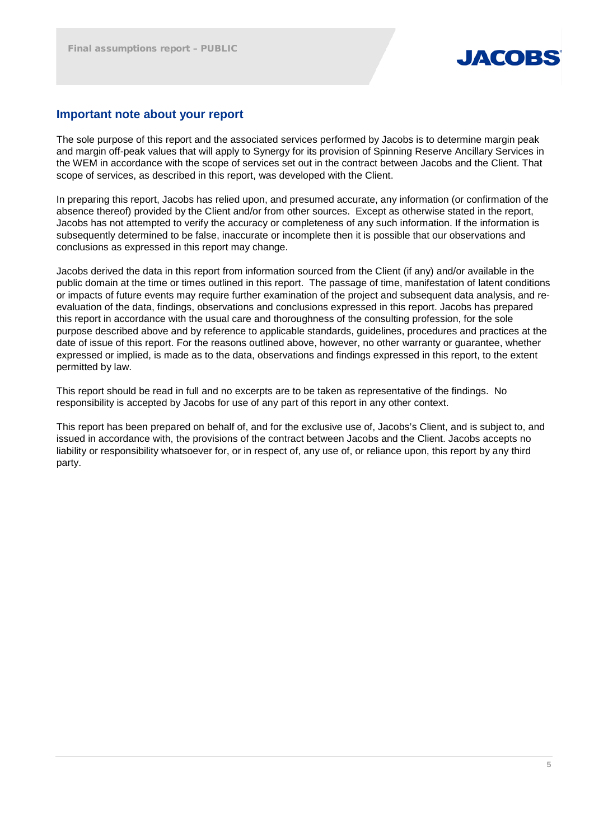

#### **Important note about your report**

The sole purpose of this report and the associated services performed by Jacobs is to determine margin peak and margin off-peak values that will apply to Synergy for its provision of Spinning Reserve Ancillary Services in the WEM in accordance with the scope of services set out in the contract between Jacobs and the Client. That scope of services, as described in this report, was developed with the Client.

In preparing this report, Jacobs has relied upon, and presumed accurate, any information (or confirmation of the absence thereof) provided by the Client and/or from other sources. Except as otherwise stated in the report, Jacobs has not attempted to verify the accuracy or completeness of any such information. If the information is subsequently determined to be false, inaccurate or incomplete then it is possible that our observations and conclusions as expressed in this report may change.

Jacobs derived the data in this report from information sourced from the Client (if any) and/or available in the public domain at the time or times outlined in this report. The passage of time, manifestation of latent conditions or impacts of future events may require further examination of the project and subsequent data analysis, and reevaluation of the data, findings, observations and conclusions expressed in this report. Jacobs has prepared this report in accordance with the usual care and thoroughness of the consulting profession, for the sole purpose described above and by reference to applicable standards, guidelines, procedures and practices at the date of issue of this report. For the reasons outlined above, however, no other warranty or guarantee, whether expressed or implied, is made as to the data, observations and findings expressed in this report, to the extent permitted by law.

This report should be read in full and no excerpts are to be taken as representative of the findings. No responsibility is accepted by Jacobs for use of any part of this report in any other context.

This report has been prepared on behalf of, and for the exclusive use of, Jacobs's Client, and is subject to, and issued in accordance with, the provisions of the contract between Jacobs and the Client. Jacobs accepts no liability or responsibility whatsoever for, or in respect of, any use of, or reliance upon, this report by any third party.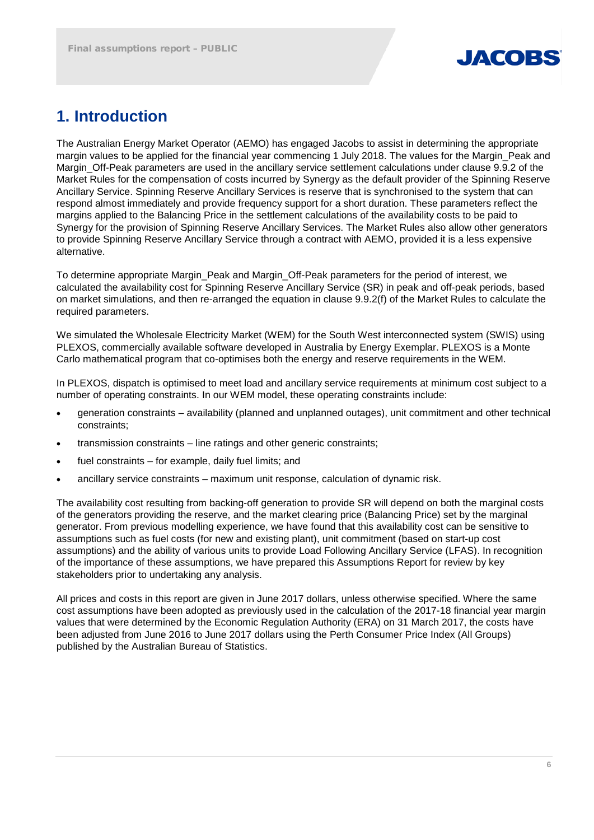

## **1. Introduction**

The Australian Energy Market Operator (AEMO) has engaged Jacobs to assist in determining the appropriate margin values to be applied for the financial year commencing 1 July 2018. The values for the Margin\_Peak and Margin\_Off-Peak parameters are used in the ancillary service settlement calculations under clause 9.9.2 of the Market Rules for the compensation of costs incurred by Synergy as the default provider of the Spinning Reserve Ancillary Service. Spinning Reserve Ancillary Services is reserve that is synchronised to the system that can respond almost immediately and provide frequency support for a short duration. These parameters reflect the margins applied to the Balancing Price in the settlement calculations of the availability costs to be paid to Synergy for the provision of Spinning Reserve Ancillary Services. The Market Rules also allow other generators to provide Spinning Reserve Ancillary Service through a contract with AEMO, provided it is a less expensive alternative.

To determine appropriate Margin\_Peak and Margin\_Off-Peak parameters for the period of interest, we calculated the availability cost for Spinning Reserve Ancillary Service (SR) in peak and off-peak periods, based on market simulations, and then re-arranged the equation in clause 9.9.2(f) of the Market Rules to calculate the required parameters.

We simulated the Wholesale Electricity Market (WEM) for the South West interconnected system (SWIS) using PLEXOS, commercially available software developed in Australia by Energy Exemplar. PLEXOS is a Monte Carlo mathematical program that co-optimises both the energy and reserve requirements in the WEM.

In PLEXOS, dispatch is optimised to meet load and ancillary service requirements at minimum cost subject to a number of operating constraints. In our WEM model, these operating constraints include:

- generation constraints availability (planned and unplanned outages), unit commitment and other technical constraints;
- transmission constraints line ratings and other generic constraints;
- fuel constraints for example, daily fuel limits; and
- ancillary service constraints maximum unit response, calculation of dynamic risk.

The availability cost resulting from backing-off generation to provide SR will depend on both the marginal costs of the generators providing the reserve, and the market clearing price (Balancing Price) set by the marginal generator. From previous modelling experience, we have found that this availability cost can be sensitive to assumptions such as fuel costs (for new and existing plant), unit commitment (based on start-up cost assumptions) and the ability of various units to provide Load Following Ancillary Service (LFAS). In recognition of the importance of these assumptions, we have prepared this Assumptions Report for review by key stakeholders prior to undertaking any analysis.

All prices and costs in this report are given in June 2017 dollars, unless otherwise specified. Where the same cost assumptions have been adopted as previously used in the calculation of the 2017-18 financial year margin values that were determined by the Economic Regulation Authority (ERA) on 31 March 2017, the costs have been adjusted from June 2016 to June 2017 dollars using the Perth Consumer Price Index (All Groups) published by the Australian Bureau of Statistics.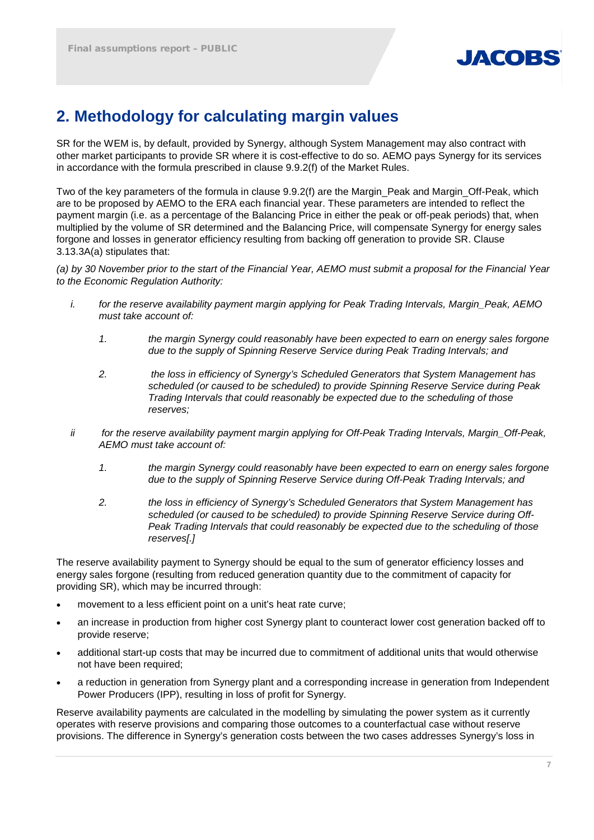

## **2. Methodology for calculating margin values**

SR for the WEM is, by default, provided by Synergy, although System Management may also contract with other market participants to provide SR where it is cost-effective to do so. AEMO pays Synergy for its services in accordance with the formula prescribed in clause 9.9.2(f) of the Market Rules.

Two of the key parameters of the formula in clause 9.9.2(f) are the Margin\_Peak and Margin\_Off-Peak, which are to be proposed by AEMO to the ERA each financial year. These parameters are intended to reflect the payment margin (i.e. as a percentage of the Balancing Price in either the peak or off-peak periods) that, when multiplied by the volume of SR determined and the Balancing Price, will compensate Synergy for energy sales forgone and losses in generator efficiency resulting from backing off generation to provide SR. Clause 3.13.3A(a) stipulates that:

*(a) by 30 November prior to the start of the Financial Year, AEMO must submit a proposal for the Financial Year to the Economic Regulation Authority:*

- *i. for the reserve availability payment margin applying for Peak Trading Intervals, Margin\_Peak, AEMO must take account of:*
	- *1. the margin Synergy could reasonably have been expected to earn on energy sales forgone due to the supply of Spinning Reserve Service during Peak Trading Intervals; and*
	- *2. the loss in efficiency of Synergy's Scheduled Generators that System Management has scheduled (or caused to be scheduled) to provide Spinning Reserve Service during Peak Trading Intervals that could reasonably be expected due to the scheduling of those reserves;*
- *ii for the reserve availability payment margin applying for Off-Peak Trading Intervals, Margin\_Off-Peak, AEMO must take account of:*
	- *1. the margin Synergy could reasonably have been expected to earn on energy sales forgone due to the supply of Spinning Reserve Service during Off-Peak Trading Intervals; and*
	- *2. the loss in efficiency of Synergy's Scheduled Generators that System Management has scheduled (or caused to be scheduled) to provide Spinning Reserve Service during Off-Peak Trading Intervals that could reasonably be expected due to the scheduling of those reserves[.]*

The reserve availability payment to Synergy should be equal to the sum of generator efficiency losses and energy sales forgone (resulting from reduced generation quantity due to the commitment of capacity for providing SR), which may be incurred through:

- movement to a less efficient point on a unit's heat rate curve;
- an increase in production from higher cost Synergy plant to counteract lower cost generation backed off to provide reserve;
- additional start-up costs that may be incurred due to commitment of additional units that would otherwise not have been required;
- a reduction in generation from Synergy plant and a corresponding increase in generation from Independent Power Producers (IPP), resulting in loss of profit for Synergy.

Reserve availability payments are calculated in the modelling by simulating the power system as it currently operates with reserve provisions and comparing those outcomes to a counterfactual case without reserve provisions. The difference in Synergy's generation costs between the two cases addresses Synergy's loss in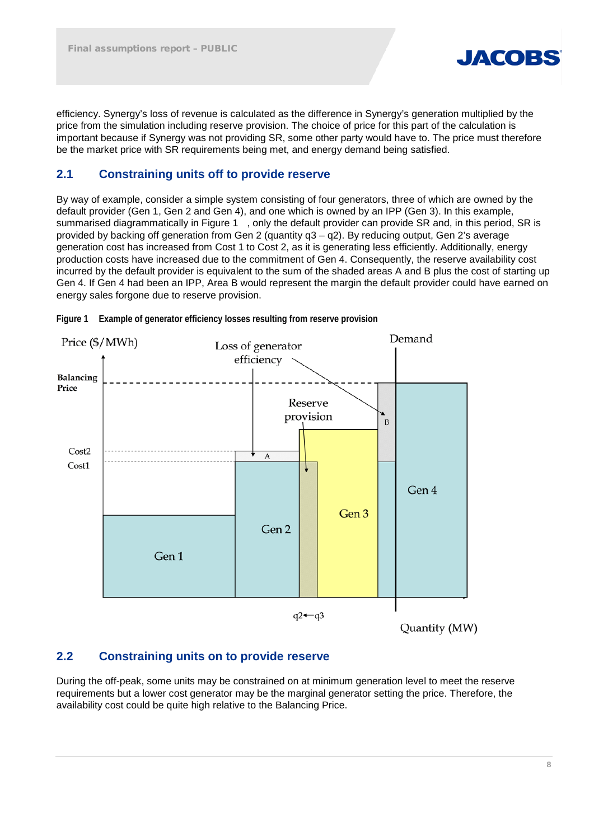

efficiency. Synergy's loss of revenue is calculated as the difference in Synergy's generation multiplied by the price from the simulation including reserve provision. The choice of price for this part of the calculation is important because if Synergy was not providing SR, some other party would have to. The price must therefore be the market price with SR requirements being met, and energy demand being satisfied.

## **2.1 Constraining units off to provide reserve**

By way of example, consider a simple system consisting of four generators, three of which are owned by the default provider (Gen 1, Gen 2 and Gen 4), and one which is owned by an IPP (Gen 3). In this example, summarised diagrammatically in [Figure 1](#page-7-0) , only the default provider can provide SR and, in this period, SR is provided by backing off generation from Gen 2 (quantity q3 – q2). By reducing output, Gen 2's average generation cost has increased from Cost 1 to Cost 2, as it is generating less efficiently. Additionally, energy production costs have increased due to the commitment of Gen 4. Consequently, the reserve availability cost incurred by the default provider is equivalent to the sum of the shaded areas A and B plus the cost of starting up Gen 4. If Gen 4 had been an IPP, Area B would represent the margin the default provider could have earned on energy sales forgone due to reserve provision.



<span id="page-7-0"></span>**Figure 1 Example of generator efficiency losses resulting from reserve provision**

## **2.2 Constraining units on to provide reserve**

During the off-peak, some units may be constrained on at minimum generation level to meet the reserve requirements but a lower cost generator may be the marginal generator setting the price. Therefore, the availability cost could be quite high relative to the Balancing Price.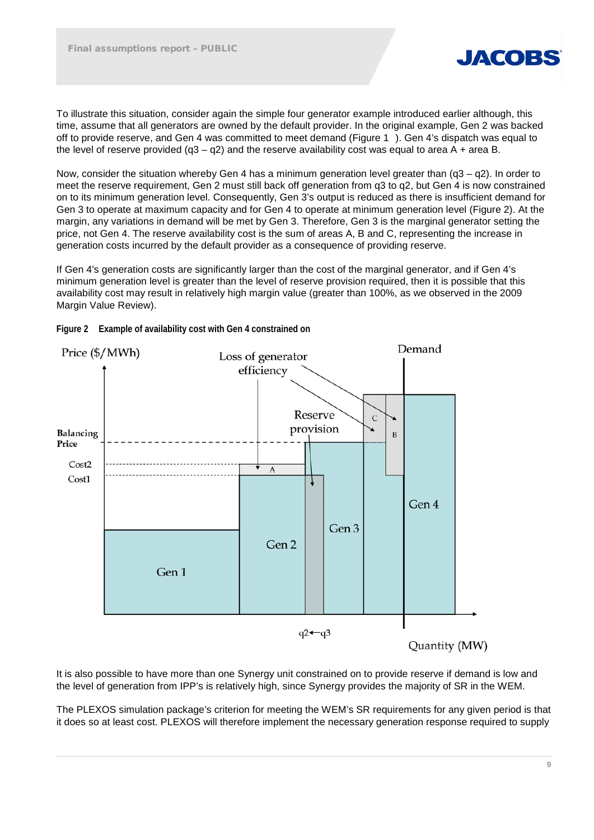

To illustrate this situation, consider again the simple four generator example introduced earlier although, this time, assume that all generators are owned by the default provider. In the original example, Gen 2 was backed off to provide reserve, and Gen 4 was committed to meet demand [\(Figure 1](#page-7-0) ). Gen 4's dispatch was equal to the level of reserve provided  $(q3 - q2)$  and the reserve availability cost was equal to area A + area B.

Now, consider the situation whereby Gen 4 has a minimum generation level greater than  $(q3 - q2)$ . In order to meet the reserve requirement, Gen 2 must still back off generation from q3 to q2, but Gen 4 is now constrained on to its minimum generation level. Consequently, Gen 3's output is reduced as there is insufficient demand for Gen 3 to operate at maximum capacity and for Gen 4 to operate at minimum generation level [\(Figure 2\)](#page-8-0). At the margin, any variations in demand will be met by Gen 3. Therefore, Gen 3 is the marginal generator setting the price, not Gen 4. The reserve availability cost is the sum of areas A, B and C, representing the increase in generation costs incurred by the default provider as a consequence of providing reserve.

If Gen 4's generation costs are significantly larger than the cost of the marginal generator, and if Gen 4's minimum generation level is greater than the level of reserve provision required, then it is possible that this availability cost may result in relatively high margin value (greater than 100%, as we observed in the 2009 Margin Value Review).



<span id="page-8-0"></span>**Figure 2 Example of availability cost with Gen 4 constrained on**

It is also possible to have more than one Synergy unit constrained on to provide reserve if demand is low and the level of generation from IPP's is relatively high, since Synergy provides the majority of SR in the WEM.

The PLEXOS simulation package's criterion for meeting the WEM's SR requirements for any given period is that it does so at least cost. PLEXOS will therefore implement the necessary generation response required to supply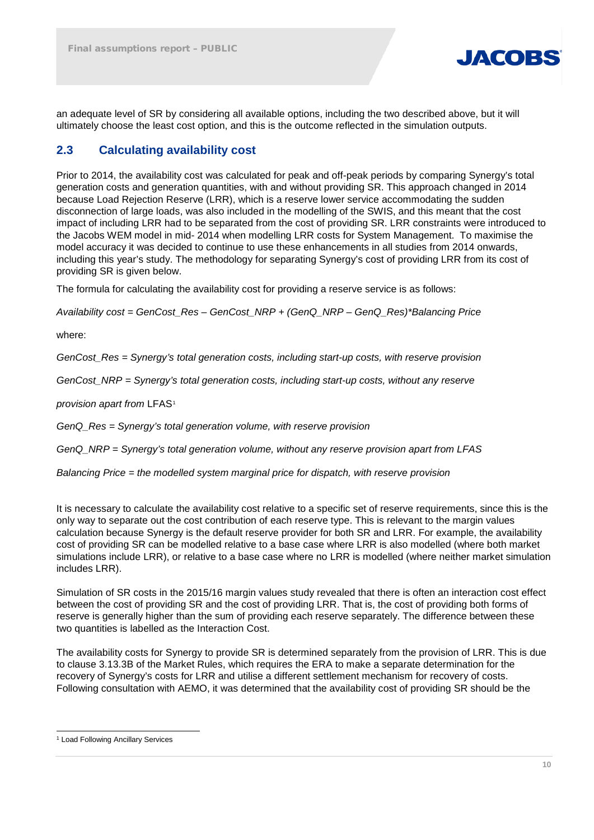

an adequate level of SR by considering all available options, including the two described above, but it will ultimately choose the least cost option, and this is the outcome reflected in the simulation outputs.

## **2.3 Calculating availability cost**

Prior to 2014, the availability cost was calculated for peak and off-peak periods by comparing Synergy's total generation costs and generation quantities, with and without providing SR. This approach changed in 2014 because Load Rejection Reserve (LRR), which is a reserve lower service accommodating the sudden disconnection of large loads, was also included in the modelling of the SWIS, and this meant that the cost impact of including LRR had to be separated from the cost of providing SR. LRR constraints were introduced to the Jacobs WEM model in mid- 2014 when modelling LRR costs for System Management. To maximise the model accuracy it was decided to continue to use these enhancements in all studies from 2014 onwards, including this year's study. The methodology for separating Synergy's cost of providing LRR from its cost of providing SR is given below.

The formula for calculating the availability cost for providing a reserve service is as follows:

*Availability cost = GenCost\_Res – GenCost\_NRP + (GenQ\_NRP – GenQ\_Res)\*Balancing Price*

where:

*GenCost\_Res = Synergy's total generation costs, including start-up costs, with reserve provision*

*GenCost\_NRP = Synergy's total generation costs, including start-up costs, without any reserve*

*provision apart from* LFAS[1](#page-9-0)

*GenQ\_Res = Synergy's total generation volume, with reserve provision*

*GenQ\_NRP = Synergy's total generation volume, without any reserve provision apart from LFAS*

*Balancing Price = the modelled system marginal price for dispatch, with reserve provision*

It is necessary to calculate the availability cost relative to a specific set of reserve requirements, since this is the only way to separate out the cost contribution of each reserve type. This is relevant to the margin values calculation because Synergy is the default reserve provider for both SR and LRR. For example, the availability cost of providing SR can be modelled relative to a base case where LRR is also modelled (where both market simulations include LRR), or relative to a base case where no LRR is modelled (where neither market simulation includes LRR).

Simulation of SR costs in the 2015/16 margin values study revealed that there is often an interaction cost effect between the cost of providing SR and the cost of providing LRR. That is, the cost of providing both forms of reserve is generally higher than the sum of providing each reserve separately. The difference between these two quantities is labelled as the Interaction Cost.

The availability costs for Synergy to provide SR is determined separately from the provision of LRR. This is due to clause 3.13.3B of the Market Rules, which requires the ERA to make a separate determination for the recovery of Synergy's costs for LRR and utilise a different settlement mechanism for recovery of costs. Following consultation with AEMO, it was determined that the availability cost of providing SR should be the

<span id="page-9-0"></span><sup>&</sup>lt;sup>1</sup> Load Following Ancillary Services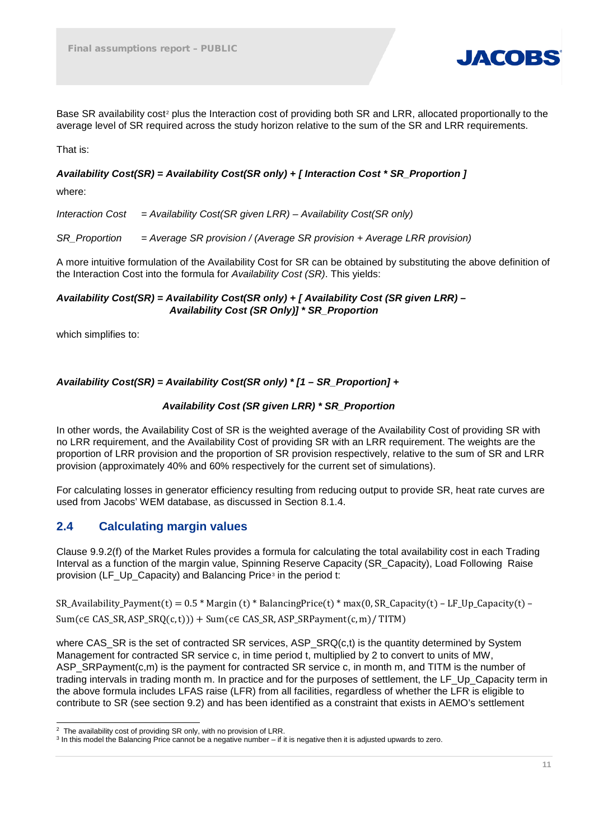

Base SR availability cost<sup>[2](#page-10-0)</sup> plus the Interaction cost of providing both SR and LRR, allocated proportionally to the average level of SR required across the study horizon relative to the sum of the SR and LRR requirements.

That is:

#### *Availability Cost(SR) = Availability Cost(SR only) + [ Interaction Cost \* SR\_Proportion ]*

where:

*Interaction Cost = Availability Cost(SR given LRR) – Availability Cost(SR only)*

*SR\_Proportion = Average SR provision / (Average SR provision + Average LRR provision)*

A more intuitive formulation of the Availability Cost for SR can be obtained by substituting the above definition of the Interaction Cost into the formula for *Availability Cost (SR)*. This yields:

#### *Availability Cost(SR) = Availability Cost(SR only) + [ Availability Cost (SR given LRR) – Availability Cost (SR Only)] \* SR\_Proportion*

which simplifies to:

#### *Availability Cost(SR) = Availability Cost(SR only) \* [1 – SR\_Proportion] +*

#### *Availability Cost (SR given LRR) \* SR\_Proportion*

In other words, the Availability Cost of SR is the weighted average of the Availability Cost of providing SR with no LRR requirement, and the Availability Cost of providing SR with an LRR requirement. The weights are the proportion of LRR provision and the proportion of SR provision respectively, relative to the sum of SR and LRR provision (approximately 40% and 60% respectively for the current set of simulations).

For calculating losses in generator efficiency resulting from reducing output to provide SR, heat rate curves are used from Jacobs' WEM database, as discussed in Section [8.1.4.](#page-26-0)

## **2.4 Calculating margin values**

Clause 9.9.2(f) of the Market Rules provides a formula for calculating the total availability cost in each Trading Interval as a function of the margin value, Spinning Reserve Capacity (SR\_Capacity), Load Following Raise provision (LF\_Up\_Capacity) and Balancing Price<sup>[3](#page-10-1)</sup> in the period t:

SR\_Availability\_Payment(t) =  $0.5 *$  Margin (t)  $*$  BalancingPrice(t)  $*$  max(0, SR\_Capacity(t) – LF\_Up\_Capacity(t) – Sum( $c∈ CAS_SR, ASP_SRQ(c,t))$ ) + Sum( $c∈ CAS_SR,ASP_SRP$ ayment(c, m)/ TITM)

where CAS\_SR is the set of contracted SR services, ASP\_SRQ(c,t) is the quantity determined by System Management for contracted SR service c, in time period t, multiplied by 2 to convert to units of MW, ASP\_SRPayment(c,m) is the payment for contracted SR service c, in month m, and TITM is the number of trading intervals in trading month m. In practice and for the purposes of settlement, the LF\_Up\_Capacity term in the above formula includes LFAS raise (LFR) from all facilities, regardless of whether the LFR is eligible to contribute to SR (see section [9.2\)](#page-29-0) and has been identified as a constraint that exists in AEMO's settlement

<span id="page-10-0"></span><sup>&</sup>lt;sup>2</sup> The availability cost of providing SR only, with no provision of LRR.

<span id="page-10-1"></span> $3$  In this model the Balancing Price cannot be a negative number – if it is negative then it is adjusted upwards to zero.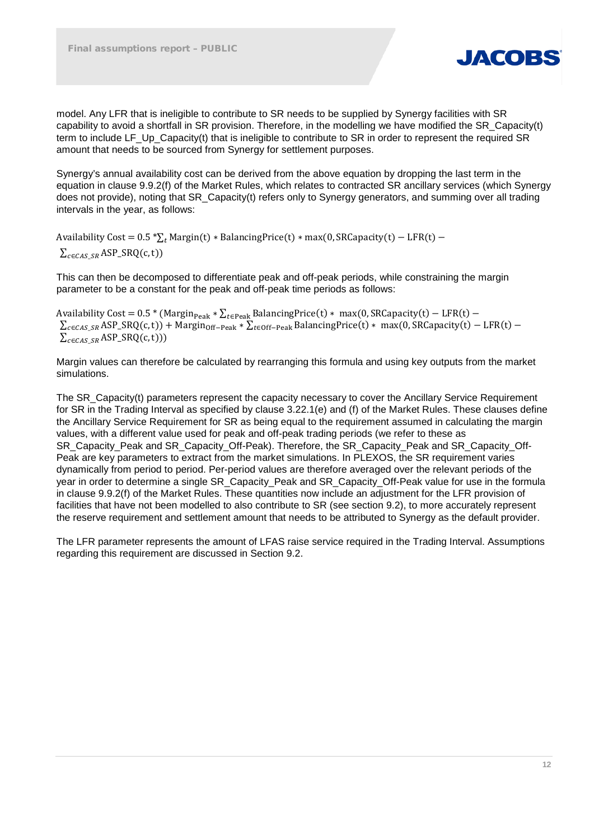

model. Any LFR that is ineligible to contribute to SR needs to be supplied by Synergy facilities with SR capability to avoid a shortfall in SR provision. Therefore, in the modelling we have modified the SR\_Capacity(t) term to include LF\_Up\_Capacity(t) that is ineligible to contribute to SR in order to represent the required SR amount that needs to be sourced from Synergy for settlement purposes.

Synergy's annual availability cost can be derived from the above equation by dropping the last term in the equation in clause 9.9.2(f) of the Market Rules, which relates to contracted SR ancillary services (which Synergy does not provide), noting that SR\_Capacity(t) refers only to Synergy generators, and summing over all trading intervals in the year, as follows:

Availability Cost = 0.5  ${}^*\Sigma_t$  Margin(t)  $*$  BalancingPrice(t)  $*$  max(0, SRCapacity(t) – LFR(t) –  $\sum_{c \in CAS}$  <sub>SR</sub> ASP\_SRQ(c, t))

This can then be decomposed to differentiate peak and off-peak periods, while constraining the margin parameter to be a constant for the peak and off-peak time periods as follows:

Availability Cost = 0.5 \* (Margin<sub>Peak</sub> \*  $\sum_{t \in Peak}$  BalancingPrice(t) \* max(0, SRCapacity(t) – LFR(t) –  $\sum_{c \in CAS\_SR} \text{ASP\_SRQ}(c,t)) + \text{Margin}_{Off-Peak} * \sum_{t \in Off-Peak} \text{BalancingPrice}(t) * \text{max}(0, \text{SRCapacity}(t) - \text{LFR}(t) - \text{LFR}(t))$  $\sum_{c \in CAS\_SR} \text{ASP\_SRQ}(c,t))$ 

Margin values can therefore be calculated by rearranging this formula and using key outputs from the market simulations.

The SR\_Capacity(t) parameters represent the capacity necessary to cover the Ancillary Service Requirement for SR in the Trading Interval as specified by clause 3.22.1(e) and (f) of the Market Rules. These clauses define the Ancillary Service Requirement for SR as being equal to the requirement assumed in calculating the margin values, with a different value used for peak and off-peak trading periods (we refer to these as SR\_Capacity\_Peak and SR\_Capacity\_Off-Peak). Therefore, the SR\_Capacity\_Peak and SR\_Capacity\_Off-Peak are key parameters to extract from the market simulations. In PLEXOS, the SR requirement varies dynamically from period to period. Per-period values are therefore averaged over the relevant periods of the year in order to determine a single SR\_Capacity\_Peak and SR\_Capacity\_Off-Peak value for use in the formula in clause 9.9.2(f) of the Market Rules. These quantities now include an adjustment for the LFR provision of facilities that have not been modelled to also contribute to SR (see section [9.2\)](#page-29-0), to more accurately represent the reserve requirement and settlement amount that needs to be attributed to Synergy as the default provider.

The LFR parameter represents the amount of LFAS raise service required in the Trading Interval. Assumptions regarding this requirement are discussed in Section [9.2.](#page-29-0)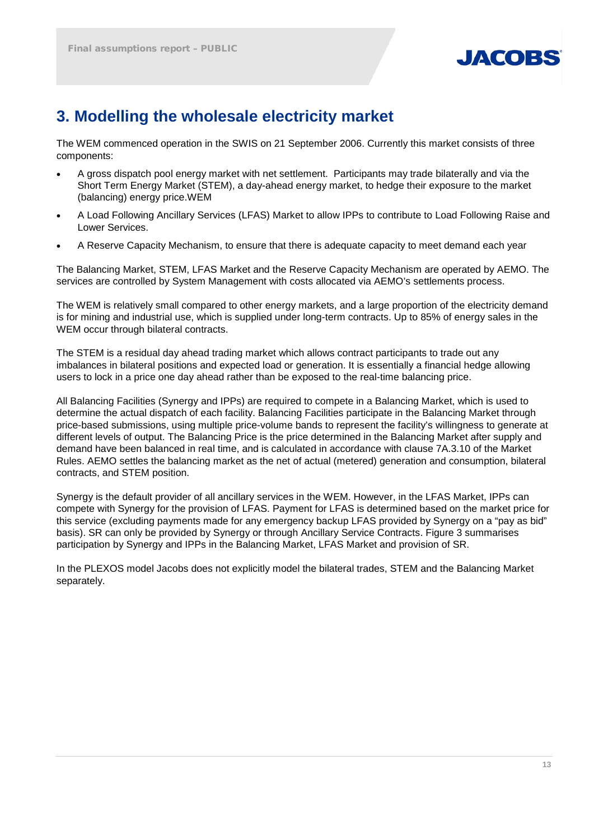

## **3. Modelling the wholesale electricity market**

The WEM commenced operation in the SWIS on 21 September 2006. Currently this market consists of three components:

- A gross dispatch pool energy market with net settlement. Participants may trade bilaterally and via the Short Term Energy Market (STEM), a day-ahead energy market, to hedge their exposure to the market (balancing) energy price.WEM
- A Load Following Ancillary Services (LFAS) Market to allow IPPs to contribute to Load Following Raise and Lower Services.
- A Reserve Capacity Mechanism, to ensure that there is adequate capacity to meet demand each year

The Balancing Market, STEM, LFAS Market and the Reserve Capacity Mechanism are operated by AEMO. The services are controlled by System Management with costs allocated via AEMO's settlements process.

The WEM is relatively small compared to other energy markets, and a large proportion of the electricity demand is for mining and industrial use, which is supplied under long-term contracts. Up to 85% of energy sales in the WEM occur through bilateral contracts.

The STEM is a residual day ahead trading market which allows contract participants to trade out any imbalances in bilateral positions and expected load or generation. It is essentially a financial hedge allowing users to lock in a price one day ahead rather than be exposed to the real-time balancing price.

All Balancing Facilities (Synergy and IPPs) are required to compete in a Balancing Market, which is used to determine the actual dispatch of each facility. Balancing Facilities participate in the Balancing Market through price-based submissions, using multiple price-volume bands to represent the facility's willingness to generate at different levels of output. The Balancing Price is the price determined in the Balancing Market after supply and demand have been balanced in real time, and is calculated in accordance with clause 7A.3.10 of the Market Rules. AEMO settles the balancing market as the net of actual (metered) generation and consumption, bilateral contracts, and STEM position.

Synergy is the default provider of all ancillary services in the WEM. However, in the LFAS Market, IPPs can compete with Synergy for the provision of LFAS. Payment for LFAS is determined based on the market price for this service (excluding payments made for any emergency backup LFAS provided by Synergy on a "pay as bid" basis). SR can only be provided by Synergy or through Ancillary Service Contracts. [Figure 3](#page-13-0) summarises participation by Synergy and IPPs in the Balancing Market, LFAS Market and provision of SR.

In the PLEXOS model Jacobs does not explicitly model the bilateral trades, STEM and the Balancing Market separately.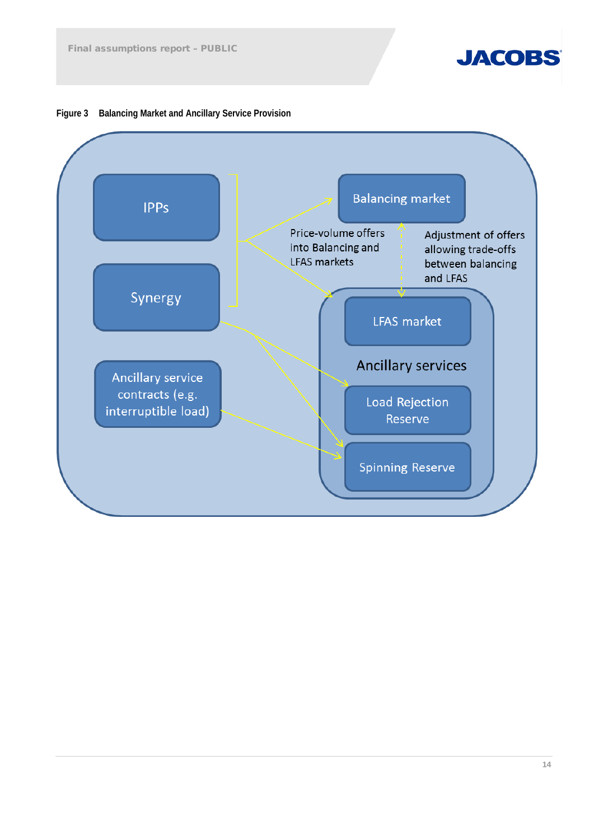

<span id="page-13-0"></span>

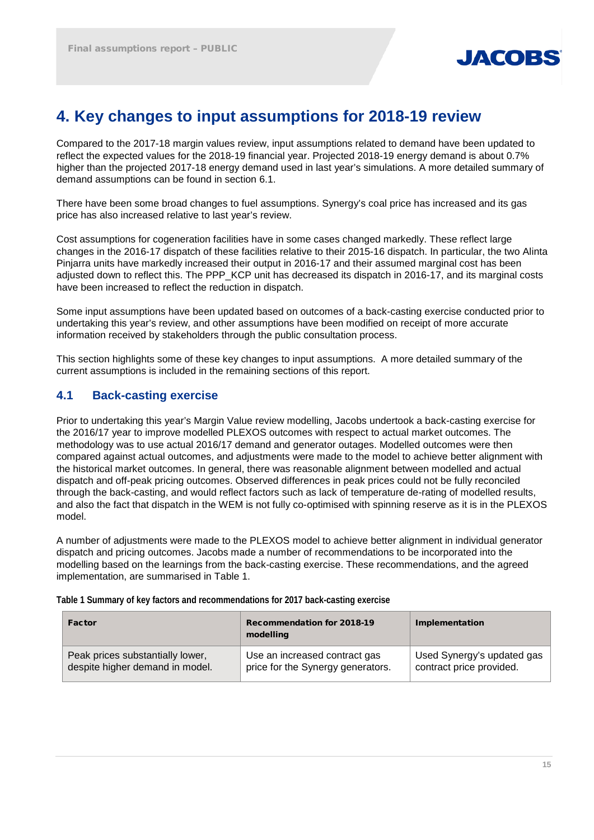

## **4. Key changes to input assumptions for 2018-19 review**

Compared to the 2017-18 margin values review, input assumptions related to demand have been updated to reflect the expected values for the 2018-19 financial year. Projected 2018-19 energy demand is about 0.7% higher than the projected 2017-18 energy demand used in last year's simulations. A more detailed summary of demand assumptions can be found in section [6.1.](#page-19-0)

There have been some broad changes to fuel assumptions. Synergy's coal price has increased and its gas price has also increased relative to last year's review.

Cost assumptions for cogeneration facilities have in some cases changed markedly. These reflect large changes in the 2016-17 dispatch of these facilities relative to their 2015-16 dispatch. In particular, the two Alinta Pinjarra units have markedly increased their output in 2016-17 and their assumed marginal cost has been adjusted down to reflect this. The PPP\_KCP unit has decreased its dispatch in 2016-17, and its marginal costs have been increased to reflect the reduction in dispatch.

Some input assumptions have been updated based on outcomes of a back-casting exercise conducted prior to undertaking this year's review, and other assumptions have been modified on receipt of more accurate information received by stakeholders through the public consultation process.

This section highlights some of these key changes to input assumptions. A more detailed summary of the current assumptions is included in the remaining sections of this report.

## **4.1 Back-casting exercise**

Prior to undertaking this year's Margin Value review modelling, Jacobs undertook a back-casting exercise for the 2016/17 year to improve modelled PLEXOS outcomes with respect to actual market outcomes. The methodology was to use actual 2016/17 demand and generator outages. Modelled outcomes were then compared against actual outcomes, and adjustments were made to the model to achieve better alignment with the historical market outcomes. In general, there was reasonable alignment between modelled and actual dispatch and off-peak pricing outcomes. Observed differences in peak prices could not be fully reconciled through the back-casting, and would reflect factors such as lack of temperature de-rating of modelled results, and also the fact that dispatch in the WEM is not fully co-optimised with spinning reserve as it is in the PLEXOS model.

A number of adjustments were made to the PLEXOS model to achieve better alignment in individual generator dispatch and pricing outcomes. Jacobs made a number of recommendations to be incorporated into the modelling based on the learnings from the back-casting exercise. These recommendations, and the agreed implementation, are summarised in [Table 1.](#page-14-0)

<span id="page-14-0"></span>**Table 1 Summary of key factors and recommendations for 2017 back-casting exercise**

| Factor                           | <b>Recommendation for 2018-19</b><br>modelling | Implementation             |
|----------------------------------|------------------------------------------------|----------------------------|
| Peak prices substantially lower, | Use an increased contract gas                  | Used Synergy's updated gas |
| despite higher demand in model.  | price for the Synergy generators.              | contract price provided.   |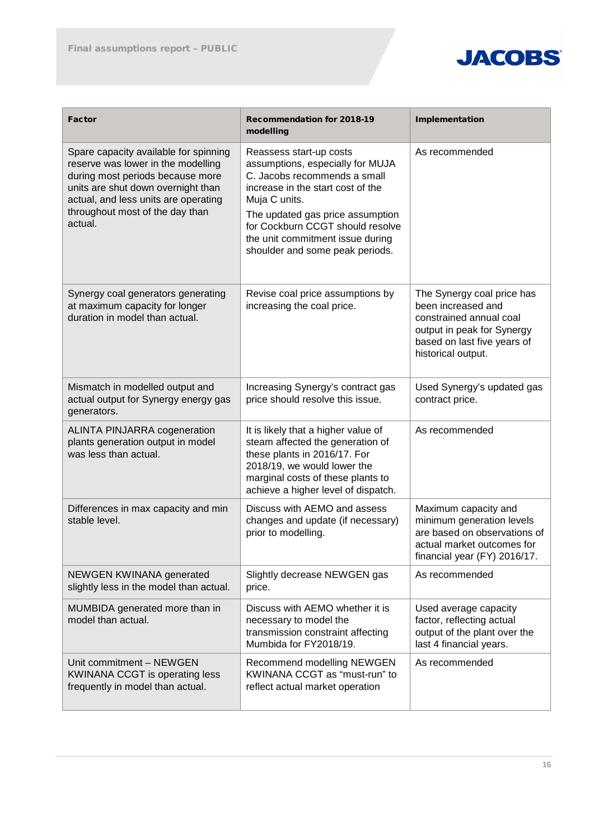

| <b>Factor</b>                                                                                                                                                                                                                               | <b>Recommendation for 2018-19</b><br>modelling                                                                                                                                                                                                                                                   | Implementation                                                                                                                                                 |
|---------------------------------------------------------------------------------------------------------------------------------------------------------------------------------------------------------------------------------------------|--------------------------------------------------------------------------------------------------------------------------------------------------------------------------------------------------------------------------------------------------------------------------------------------------|----------------------------------------------------------------------------------------------------------------------------------------------------------------|
| Spare capacity available for spinning<br>reserve was lower in the modelling<br>during most periods because more<br>units are shut down overnight than<br>actual, and less units are operating<br>throughout most of the day than<br>actual. | Reassess start-up costs<br>assumptions, especially for MUJA<br>C. Jacobs recommends a small<br>increase in the start cost of the<br>Muja C units.<br>The updated gas price assumption<br>for Cockburn CCGT should resolve<br>the unit commitment issue during<br>shoulder and some peak periods. | As recommended                                                                                                                                                 |
| Synergy coal generators generating<br>at maximum capacity for longer<br>duration in model than actual.                                                                                                                                      | Revise coal price assumptions by<br>increasing the coal price.                                                                                                                                                                                                                                   | The Synergy coal price has<br>been increased and<br>constrained annual coal<br>output in peak for Synergy<br>based on last five years of<br>historical output. |
| Mismatch in modelled output and<br>actual output for Synergy energy gas<br>generators.                                                                                                                                                      | Increasing Synergy's contract gas<br>price should resolve this issue.                                                                                                                                                                                                                            | Used Synergy's updated gas<br>contract price.                                                                                                                  |
| <b>ALINTA PINJARRA cogeneration</b><br>plants generation output in model<br>was less than actual.                                                                                                                                           | It is likely that a higher value of<br>steam affected the generation of<br>these plants in 2016/17. For<br>2018/19, we would lower the<br>marginal costs of these plants to<br>achieve a higher level of dispatch.                                                                               | As recommended                                                                                                                                                 |
| Differences in max capacity and min<br>stable level.                                                                                                                                                                                        | Discuss with AEMO and assess<br>changes and update (if necessary)<br>prior to modelling.                                                                                                                                                                                                         | Maximum capacity and<br>minimum generation levels<br>are based on observations of<br>actual market outcomes for<br>financial year (FY) 2016/17.                |
| <b>NEWGEN KWINANA generated</b><br>slightly less in the model than actual.                                                                                                                                                                  | Slightly decrease NEWGEN gas<br>price.                                                                                                                                                                                                                                                           | As recommended                                                                                                                                                 |
| MUMBIDA generated more than in<br>model than actual.                                                                                                                                                                                        | Discuss with AEMO whether it is<br>necessary to model the<br>transmission constraint affecting<br>Mumbida for FY2018/19.                                                                                                                                                                         | Used average capacity<br>factor, reflecting actual<br>output of the plant over the<br>last 4 financial years.                                                  |
| Unit commitment - NEWGEN<br>KWINANA CCGT is operating less<br>frequently in model than actual.                                                                                                                                              | Recommend modelling NEWGEN<br>KWINANA CCGT as "must-run" to<br>reflect actual market operation                                                                                                                                                                                                   | As recommended                                                                                                                                                 |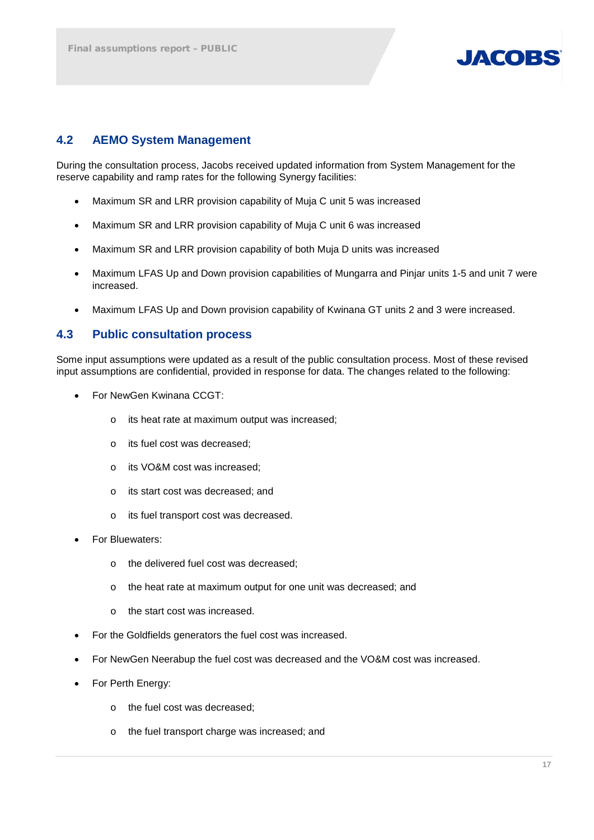

## **4.2 AEMO System Management**

During the consultation process, Jacobs received updated information from System Management for the reserve capability and ramp rates for the following Synergy facilities:

- Maximum SR and LRR provision capability of Muja C unit 5 was increased
- Maximum SR and LRR provision capability of Muja C unit 6 was increased
- Maximum SR and LRR provision capability of both Muja D units was increased
- Maximum LFAS Up and Down provision capabilities of Mungarra and Pinjar units 1-5 and unit 7 were increased.
- Maximum LFAS Up and Down provision capability of Kwinana GT units 2 and 3 were increased.

## **4.3 Public consultation process**

Some input assumptions were updated as a result of the public consultation process. Most of these revised input assumptions are confidential, provided in response for data. The changes related to the following:

- For NewGen Kwinana CCGT:
	- o its heat rate at maximum output was increased;
	- o its fuel cost was decreased;
	- o its VO&M cost was increased;
	- o its start cost was decreased; and
	- o its fuel transport cost was decreased.
- For Bluewaters:
	- o the delivered fuel cost was decreased;
	- o the heat rate at maximum output for one unit was decreased; and
	- o the start cost was increased.
- For the Goldfields generators the fuel cost was increased.
- For NewGen Neerabup the fuel cost was decreased and the VO&M cost was increased.
- For Perth Energy:
	- o the fuel cost was decreased;
	- o the fuel transport charge was increased; and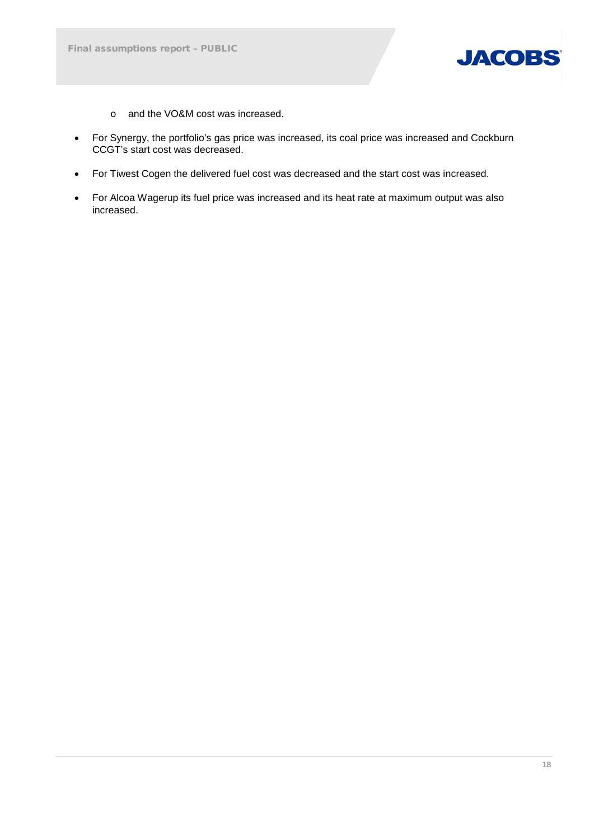

- o and the VO&M cost was increased.
- For Synergy, the portfolio's gas price was increased, its coal price was increased and Cockburn CCGT's start cost was decreased.
- For Tiwest Cogen the delivered fuel cost was decreased and the start cost was increased.
- For Alcoa Wagerup its fuel price was increased and its heat rate at maximum output was also increased.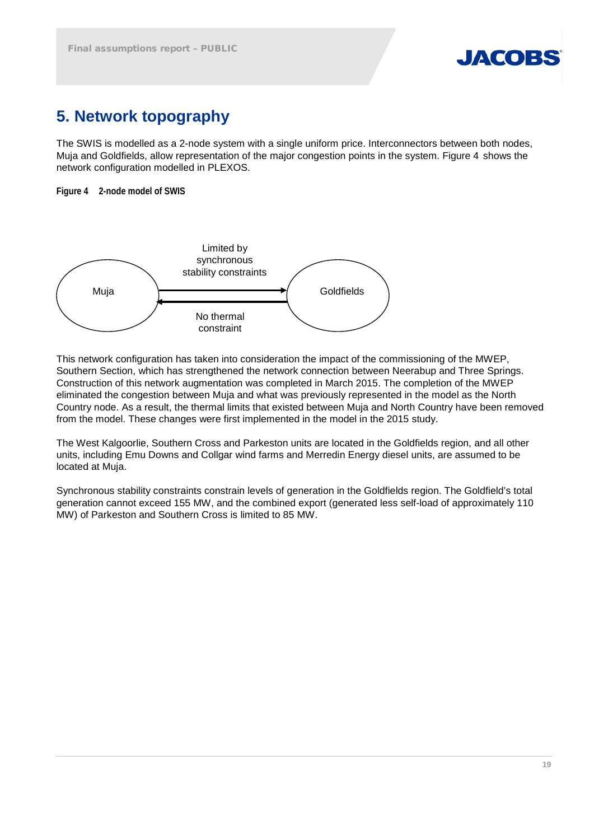

# **5. Network topography**

The SWIS is modelled as a 2-node system with a single uniform price. Interconnectors between both nodes, Muja and Goldfields, allow representation of the major congestion points in the system. [Figure 4](#page-18-0) shows the network configuration modelled in PLEXOS.

<span id="page-18-0"></span>**Figure 4 2-node model of SWIS**



This network configuration has taken into consideration the impact of the commissioning of the MWEP, Southern Section, which has strengthened the network connection between Neerabup and Three Springs. Construction of this network augmentation was completed in March 2015. The completion of the MWEP eliminated the congestion between Muja and what was previously represented in the model as the North Country node. As a result, the thermal limits that existed between Muja and North Country have been removed from the model. These changes were first implemented in the model in the 2015 study.

The West Kalgoorlie, Southern Cross and Parkeston units are located in the Goldfields region, and all other units, including Emu Downs and Collgar wind farms and Merredin Energy diesel units, are assumed to be located at Muja.

Synchronous stability constraints constrain levels of generation in the Goldfields region. The Goldfield's total generation cannot exceed 155 MW, and the combined export (generated less self-load of approximately 110 MW) of Parkeston and Southern Cross is limited to 85 MW.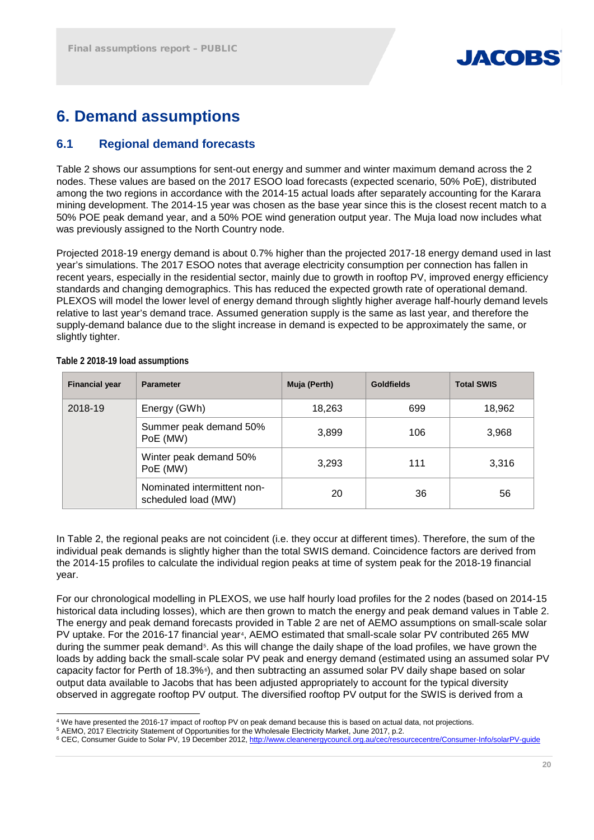

# **6. Demand assumptions**

## <span id="page-19-0"></span>**6.1 Regional demand forecasts**

[Table 2](#page-19-1) shows our assumptions for sent-out energy and summer and winter maximum demand across the 2 nodes. These values are based on the 2017 ESOO load forecasts (expected scenario, 50% PoE), distributed among the two regions in accordance with the 2014-15 actual loads after separately accounting for the Karara mining development. The 2014-15 year was chosen as the base year since this is the closest recent match to a 50% POE peak demand year, and a 50% POE wind generation output year. The Muja load now includes what was previously assigned to the North Country node.

Projected 2018-19 energy demand is about 0.7% higher than the projected 2017-18 energy demand used in last year's simulations. The 2017 ESOO notes that average electricity consumption per connection has fallen in recent years, especially in the residential sector, mainly due to growth in rooftop PV, improved energy efficiency standards and changing demographics. This has reduced the expected growth rate of operational demand. PLEXOS will model the lower level of energy demand through slightly higher average half-hourly demand levels relative to last year's demand trace. Assumed generation supply is the same as last year, and therefore the supply-demand balance due to the slight increase in demand is expected to be approximately the same, or slightly tighter.

| <b>Financial year</b> | <b>Parameter</b>                                   | Muja (Perth) | <b>Goldfields</b> | <b>Total SWIS</b> |
|-----------------------|----------------------------------------------------|--------------|-------------------|-------------------|
| 2018-19               | Energy (GWh)                                       | 18,263       | 699               | 18,962            |
|                       | Summer peak demand 50%<br>PoE (MW)                 | 3,899        | 106               | 3,968             |
|                       | Winter peak demand 50%<br>PoE (MW)                 | 3,293        | 111               | 3,316             |
|                       | Nominated intermittent non-<br>scheduled load (MW) | 20           | 36                | 56                |

<span id="page-19-1"></span>**Table 2 2018-19 load assumptions** 

In [Table 2,](#page-19-1) the regional peaks are not coincident (i.e. they occur at different times). Therefore, the sum of the individual peak demands is slightly higher than the total SWIS demand. Coincidence factors are derived from the 2014-15 profiles to calculate the individual region peaks at time of system peak for the 2018-19 financial year.

For our chronological modelling in PLEXOS, we use half hourly load profiles for the 2 nodes (based on 2014-15 historical data including losses), which are then grown to match the energy and peak demand values in [Table 2.](#page-19-1) The energy and peak demand forecasts provided in [Table 2](#page-19-1) are net of AEMO assumptions on small-scale solar PV uptake. For the 2016-17 financial year<sup>4</sup>, AEMO estimated that small-scale solar PV contributed 265 MW during the summer peak demand<sup>5</sup>. As this will change the daily shape of the load profiles, we have grown the loads by adding back the small-scale solar PV peak and energy demand (estimated using an assumed solar PV capacity factor for Perth of 18.3%[6\)](#page-19-4), and then subtracting an assumed solar PV daily shape based on solar output data available to Jacobs that has been adjusted appropriately to account for the typical diversity observed in aggregate rooftop PV output. The diversified rooftop PV output for the SWIS is derived from a

 <sup>4</sup> We have presented the 2016-17 impact of rooftop PV on peak demand because this is based on actual data, not projections.

<span id="page-19-3"></span><span id="page-19-2"></span><sup>5</sup> AEMO, 2017 Electricity Statement of Opportunities for the Wholesale Electricity Market, June 2017, p.2.

<span id="page-19-4"></span><sup>6</sup> CEC, Consumer Guide to Solar PV, 19 December 2012[, http://www.cleanenergycouncil.org.au/cec/resourcecentre/Consumer-Info/solarPV-guide](http://www.cleanenergycouncil.org.au/cec/resourcecentre/Consumer-Info/solarPV-guide)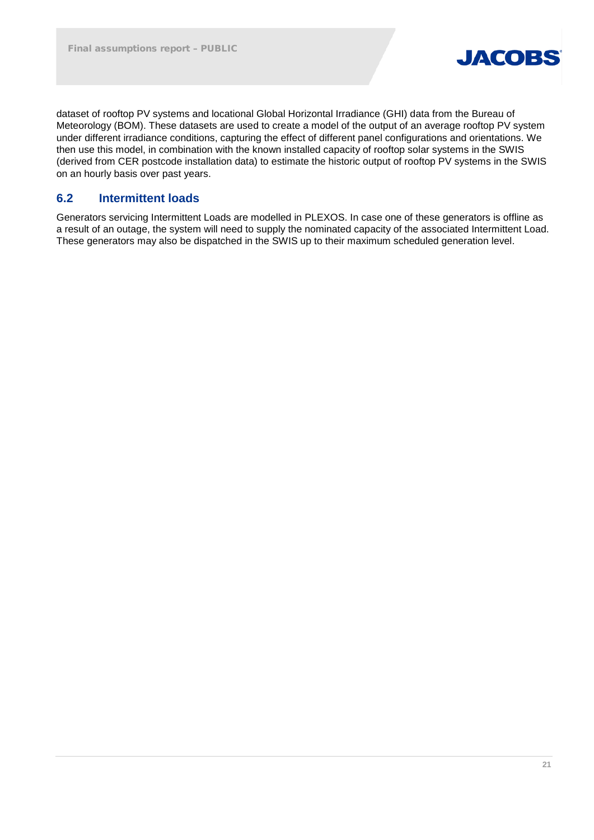

dataset of rooftop PV systems and locational Global Horizontal Irradiance (GHI) data from the Bureau of Meteorology (BOM). These datasets are used to create a model of the output of an average rooftop PV system under different irradiance conditions, capturing the effect of different panel configurations and orientations. We then use this model, in combination with the known installed capacity of rooftop solar systems in the SWIS (derived from CER postcode installation data) to estimate the historic output of rooftop PV systems in the SWIS on an hourly basis over past years.

## **6.2 Intermittent loads**

Generators servicing Intermittent Loads are modelled in PLEXOS. In case one of these generators is offline as a result of an outage, the system will need to supply the nominated capacity of the associated Intermittent Load. These generators may also be dispatched in the SWIS up to their maximum scheduled generation level.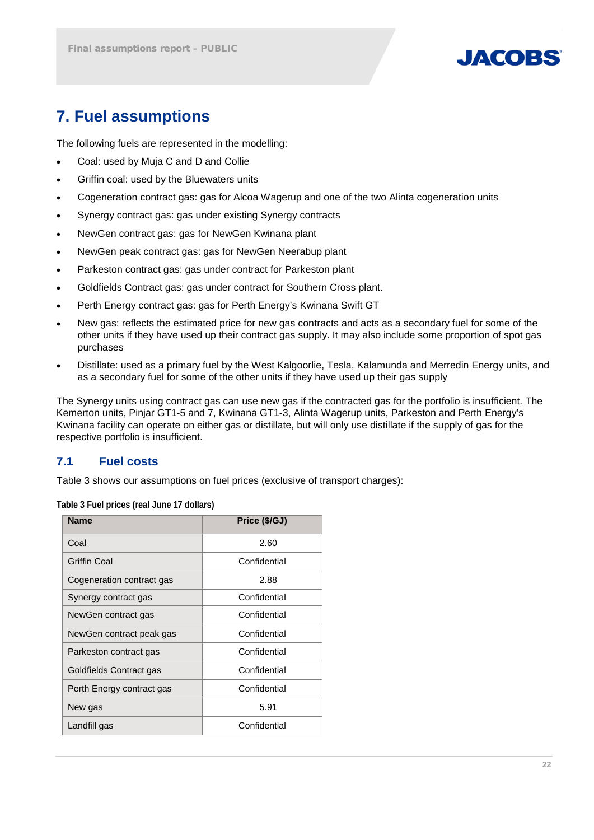

# **7. Fuel assumptions**

The following fuels are represented in the modelling:

- Coal: used by Muja C and D and Collie
- Griffin coal: used by the Bluewaters units
- Cogeneration contract gas: gas for Alcoa Wagerup and one of the two Alinta cogeneration units
- Synergy contract gas: gas under existing Synergy contracts
- NewGen contract gas: gas for NewGen Kwinana plant
- NewGen peak contract gas: gas for NewGen Neerabup plant
- Parkeston contract gas: gas under contract for Parkeston plant
- Goldfields Contract gas: gas under contract for Southern Cross plant.
- Perth Energy contract gas: gas for Perth Energy's Kwinana Swift GT
- New gas: reflects the estimated price for new gas contracts and acts as a secondary fuel for some of the other units if they have used up their contract gas supply. It may also include some proportion of spot gas purchases
- Distillate: used as a primary fuel by the West Kalgoorlie, Tesla, Kalamunda and Merredin Energy units, and as a secondary fuel for some of the other units if they have used up their gas supply

The Synergy units using contract gas can use new gas if the contracted gas for the portfolio is insufficient. The Kemerton units, Pinjar GT1-5 and 7, Kwinana GT1-3, Alinta Wagerup units, Parkeston and Perth Energy's Kwinana facility can operate on either gas or distillate, but will only use distillate if the supply of gas for the respective portfolio is insufficient.

## **7.1 Fuel costs**

[Table 3](#page-21-0) shows our assumptions on fuel prices (exclusive of transport charges):

| <b>Name</b>               | Price (\$/GJ) |
|---------------------------|---------------|
| Coal                      | 2.60          |
| Griffin Coal              | Confidential  |
| Cogeneration contract gas | 2.88          |
| Synergy contract gas      | Confidential  |
| NewGen contract gas       | Confidential  |
| NewGen contract peak gas  | Confidential  |
| Parkeston contract gas    | Confidential  |
| Goldfields Contract gas   | Confidential  |
| Perth Energy contract gas | Confidential  |
| New gas                   | 5.91          |
| Landfill gas              | Confidential  |

<span id="page-21-0"></span>**Table 3 Fuel prices (real June 17 dollars)**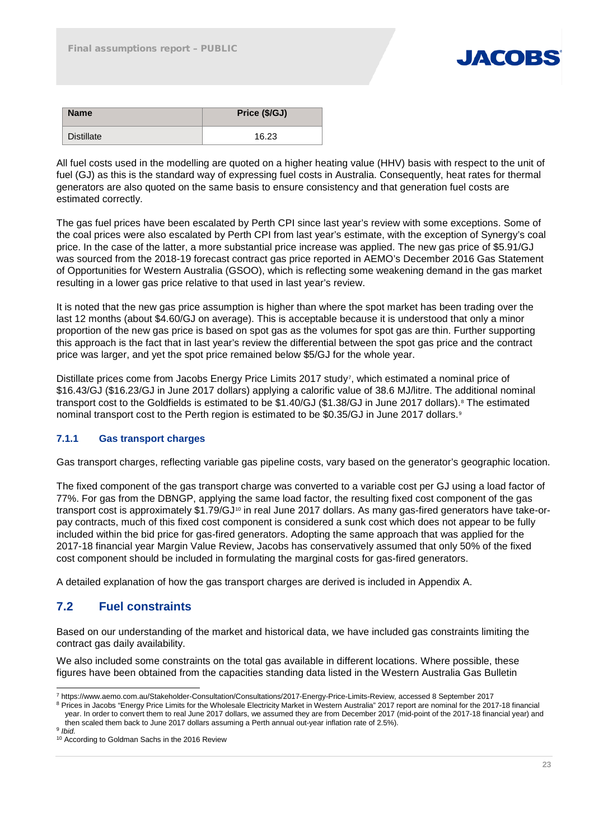

| <b>Name</b>       | Price (\$/GJ) |
|-------------------|---------------|
| <b>Distillate</b> | 16.23         |

All fuel costs used in the modelling are quoted on a higher heating value (HHV) basis with respect to the unit of fuel (GJ) as this is the standard way of expressing fuel costs in Australia. Consequently, heat rates for thermal generators are also quoted on the same basis to ensure consistency and that generation fuel costs are estimated correctly.

The gas fuel prices have been escalated by Perth CPI since last year's review with some exceptions. Some of the coal prices were also escalated by Perth CPI from last year's estimate, with the exception of Synergy's coal price. In the case of the latter, a more substantial price increase was applied. The new gas price of \$5.91/GJ was sourced from the 2018-19 forecast contract gas price reported in AEMO's December 2016 Gas Statement of Opportunities for Western Australia (GSOO), which is reflecting some weakening demand in the gas market resulting in a lower gas price relative to that used in last year's review.

It is noted that the new gas price assumption is higher than where the spot market has been trading over the last 12 months (about \$4.60/GJ on average). This is acceptable because it is understood that only a minor proportion of the new gas price is based on spot gas as the volumes for spot gas are thin. Further supporting this approach is the fact that in last year's review the differential between the spot gas price and the contract price was larger, and yet the spot price remained below \$5/GJ for the whole year.

Distillate prices come from Jacobs Energy Price Limits 201[7](#page-22-0) study<sup>7</sup>, which estimated a nominal price of \$16.43/GJ (\$16.23/GJ in June 2017 dollars) applying a calorific value of 38.6 MJ/litre. The additional nominal transport cost to the Goldfields is estimated to be \$1.40/GJ (\$1.3[8](#page-22-1)/GJ in June 2017 dollars).<sup>8</sup> The estimated nominal transport cost to the Perth region is estimated to be \$0.35/GJ in June 2017 dollars.<sup>[9](#page-22-2)</sup>

#### **7.1.1 Gas transport charges**

Gas transport charges, reflecting variable gas pipeline costs, vary based on the generator's geographic location.

The fixed component of the gas transport charge was converted to a variable cost per GJ using a load factor of 77%. For gas from the DBNGP, applying the same load factor, the resulting fixed cost component of the gas transport cost is approximately \$1.79/GJ<sup>[10](#page-22-3)</sup> in real June 2017 dollars. As many gas-fired generators have take-orpay contracts, much of this fixed cost component is considered a sunk cost which does not appear to be fully included within the bid price for gas-fired generators. Adopting the same approach that was applied for the 2017-18 financial year Margin Value Review, Jacobs has conservatively assumed that only 50% of the fixed cost component should be included in formulating the marginal costs for gas-fired generators.

A detailed explanation of how the gas transport charges are derived is included in [Appendix A.](#page-32-0)

## **7.2 Fuel constraints**

Based on our understanding of the market and historical data, we have included gas constraints limiting the contract gas daily availability.

We also included some constraints on the total gas available in different locations. Where possible, these figures have been obtained from the capacities standing data listed in the Western Australia Gas Bulletin

<span id="page-22-0"></span> <sup>7</sup> https://www.aemo.com.au/Stakeholder-Consultation/Consultations/2017-Energy-Price-Limits-Review, accessed 8 September 2017

<span id="page-22-1"></span><sup>&</sup>lt;sup>8</sup> Prices in Jacobs "Energy Price Limits for the Wholesale Electricity Market in Western Australia" 2017 report are nominal for the 2017-18 financial year. In order to convert them to real June 2017 dollars, we assumed they are from December 2017 (mid-point of the 2017-18 financial year) and then scaled them back to June 2017 dollars assuming a Perth annual out-year inflation rate of 2.5%).

<span id="page-22-2"></span><sup>9</sup> *Ibid.*

<span id="page-22-3"></span><sup>10</sup> According to Goldman Sachs in the 2016 Review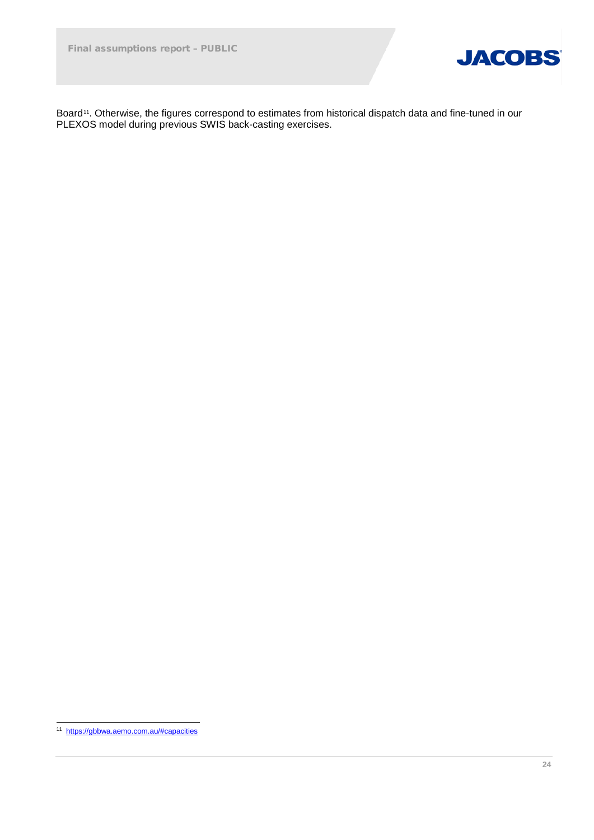

Board[11](#page-23-0). Otherwise, the figures correspond to estimates from historical dispatch data and fine-tuned in our PLEXOS model during previous SWIS back-casting exercises.

<span id="page-23-0"></span> <sup>11</sup><https://gbbwa.aemo.com.au/#capacities>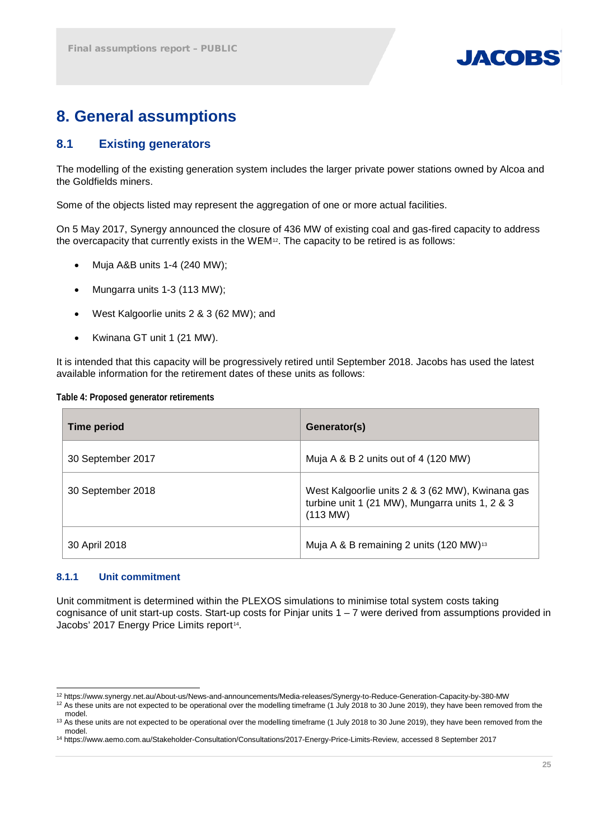

# **8. General assumptions**

## **8.1 Existing generators**

The modelling of the existing generation system includes the larger private power stations owned by Alcoa and the Goldfields miners.

Some of the objects listed may represent the aggregation of one or more actual facilities.

On 5 May 2017, Synergy announced the closure of 436 MW of existing coal and gas-fired capacity to address the overcapacity that currently exists in the WEM[12.](#page-24-0) The capacity to be retired is as follows:

- Muja A&B units 1-4 (240 MW);
- Mungarra units 1-3 (113 MW);
- West Kalgoorlie units 2 & 3 (62 MW); and
- Kwinana GT unit 1 (21 MW).

It is intended that this capacity will be progressively retired until September 2018. Jacobs has used the latest available information for the retirement dates of these units as follows:

**Table 4: Proposed generator retirements**

| <b>Time period</b> | Generator(s)                                                                                                      |
|--------------------|-------------------------------------------------------------------------------------------------------------------|
| 30 September 2017  | Muja A & B 2 units out of 4 (120 MW)                                                                              |
| 30 September 2018  | West Kalgoorlie units 2 & 3 (62 MW), Kwinana gas<br>turbine unit 1 (21 MW), Mungarra units 1, 2 & 3<br>$(113$ MW) |
| 30 April 2018      | Muja A & B remaining 2 units $(120 \text{ MW})^{13}$                                                              |

#### **8.1.1 Unit commitment**

Unit commitment is determined within the PLEXOS simulations to minimise total system costs taking cognisance of unit start-up costs. Start-up costs for Pinjar units  $1 - 7$  were derived from assumptions provided in Jacobs' 2017 Energy Price Limits report<sup>14</sup>.

 <sup>12</sup> https://www.synergy.net.au/About-us/News-and-announcements/Media-releases/Synergy-to-Reduce-Generation-Capacity-by-380-MW

<span id="page-24-0"></span><sup>&</sup>lt;sup>12</sup> As these units are not expected to be operational over the modelling timeframe (1 July 2018 to 30 June 2019), they have been removed from the model.

<span id="page-24-1"></span><sup>&</sup>lt;sup>13</sup> As these units are not expected to be operational over the modelling timeframe (1 July 2018 to 30 June 2019), they have been removed from the model.

<span id="page-24-2"></span><sup>14</sup> https://www.aemo.com.au/Stakeholder-Consultation/Consultations/2017-Energy-Price-Limits-Review, accessed 8 September 2017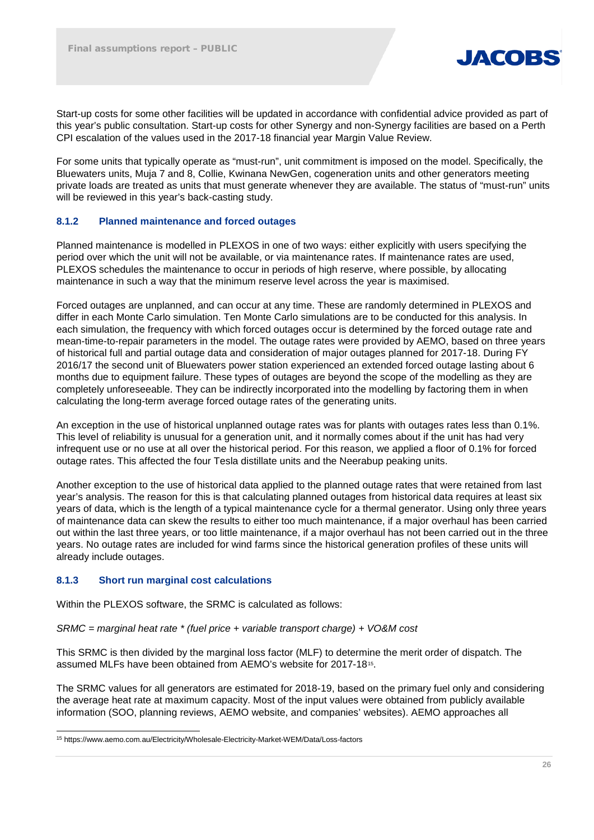

Start-up costs for some other facilities will be updated in accordance with confidential advice provided as part of this year's public consultation. Start-up costs for other Synergy and non-Synergy facilities are based on a Perth CPI escalation of the values used in the 2017-18 financial year Margin Value Review.

For some units that typically operate as "must-run", unit commitment is imposed on the model. Specifically, the Bluewaters units, Muja 7 and 8, Collie, Kwinana NewGen, cogeneration units and other generators meeting private loads are treated as units that must generate whenever they are available. The status of "must-run" units will be reviewed in this year's back-casting study.

#### **8.1.2 Planned maintenance and forced outages**

Planned maintenance is modelled in PLEXOS in one of two ways: either explicitly with users specifying the period over which the unit will not be available, or via maintenance rates. If maintenance rates are used, PLEXOS schedules the maintenance to occur in periods of high reserve, where possible, by allocating maintenance in such a way that the minimum reserve level across the year is maximised.

Forced outages are unplanned, and can occur at any time. These are randomly determined in PLEXOS and differ in each Monte Carlo simulation. Ten Monte Carlo simulations are to be conducted for this analysis. In each simulation, the frequency with which forced outages occur is determined by the forced outage rate and mean-time-to-repair parameters in the model. The outage rates were provided by AEMO, based on three years of historical full and partial outage data and consideration of major outages planned for 2017-18. During FY 2016/17 the second unit of Bluewaters power station experienced an extended forced outage lasting about 6 months due to equipment failure. These types of outages are beyond the scope of the modelling as they are completely unforeseeable. They can be indirectly incorporated into the modelling by factoring them in when calculating the long-term average forced outage rates of the generating units.

An exception in the use of historical unplanned outage rates was for plants with outages rates less than 0.1%. This level of reliability is unusual for a generation unit, and it normally comes about if the unit has had very infrequent use or no use at all over the historical period. For this reason, we applied a floor of 0.1% for forced outage rates. This affected the four Tesla distillate units and the Neerabup peaking units.

Another exception to the use of historical data applied to the planned outage rates that were retained from last year's analysis. The reason for this is that calculating planned outages from historical data requires at least six years of data, which is the length of a typical maintenance cycle for a thermal generator. Using only three years of maintenance data can skew the results to either too much maintenance, if a major overhaul has been carried out within the last three years, or too little maintenance, if a major overhaul has not been carried out in the three years. No outage rates are included for wind farms since the historical generation profiles of these units will already include outages.

#### **8.1.3 Short run marginal cost calculations**

Within the PLEXOS software, the SRMC is calculated as follows:

*SRMC = marginal heat rate \* (fuel price + variable transport charge) + VO&M cost*

This SRMC is then divided by the marginal loss factor (MLF) to determine the merit order of dispatch. The assumed MLFs have been obtained from AEMO's website for 2017-18[15](#page-25-0).

The SRMC values for all generators are estimated for 2018-19, based on the primary fuel only and considering the average heat rate at maximum capacity. Most of the input values were obtained from publicly available information (SOO, planning reviews, AEMO website, and companies' websites). AEMO approaches all

<span id="page-25-0"></span> <sup>15</sup> https://www.aemo.com.au/Electricity/Wholesale-Electricity-Market-WEM/Data/Loss-factors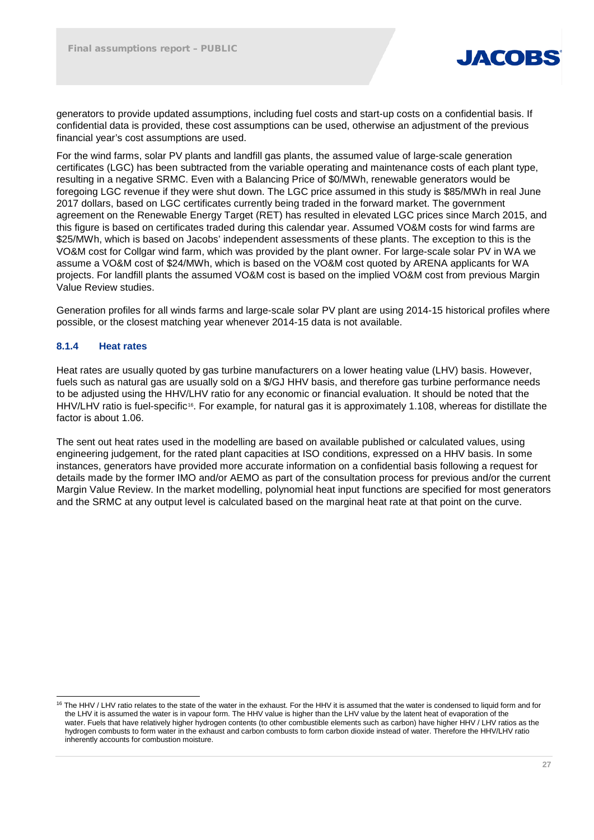

generators to provide updated assumptions, including fuel costs and start-up costs on a confidential basis. If confidential data is provided, these cost assumptions can be used, otherwise an adjustment of the previous financial year's cost assumptions are used.

For the wind farms, solar PV plants and landfill gas plants, the assumed value of large-scale generation certificates (LGC) has been subtracted from the variable operating and maintenance costs of each plant type, resulting in a negative SRMC. Even with a Balancing Price of \$0/MWh, renewable generators would be foregoing LGC revenue if they were shut down. The LGC price assumed in this study is \$85/MWh in real June 2017 dollars, based on LGC certificates currently being traded in the forward market. The government agreement on the Renewable Energy Target (RET) has resulted in elevated LGC prices since March 2015, and this figure is based on certificates traded during this calendar year. Assumed VO&M costs for wind farms are \$25/MWh, which is based on Jacobs' independent assessments of these plants. The exception to this is the VO&M cost for Collgar wind farm, which was provided by the plant owner. For large-scale solar PV in WA we assume a VO&M cost of \$24/MWh, which is based on the VO&M cost quoted by ARENA applicants for WA projects. For landfill plants the assumed VO&M cost is based on the implied VO&M cost from previous Margin Value Review studies.

Generation profiles for all winds farms and large-scale solar PV plant are using 2014-15 historical profiles where possible, or the closest matching year whenever 2014-15 data is not available.

#### <span id="page-26-0"></span>**8.1.4 Heat rates**

Heat rates are usually quoted by gas turbine manufacturers on a lower heating value (LHV) basis. However, fuels such as natural gas are usually sold on a \$/GJ HHV basis, and therefore gas turbine performance needs to be adjusted using the HHV/LHV ratio for any economic or financial evaluation. It should be noted that the HHV/LHV ratio is fuel-specific<sup>16</sup>. For example, for natural gas it is approximately 1.108, whereas for distillate the factor is about 1.06.

The sent out heat rates used in the modelling are based on available published or calculated values, using engineering judgement, for the rated plant capacities at ISO conditions, expressed on a HHV basis. In some instances, generators have provided more accurate information on a confidential basis following a request for details made by the former IMO and/or AEMO as part of the consultation process for previous and/or the current Margin Value Review. In the market modelling, polynomial heat input functions are specified for most generators and the SRMC at any output level is calculated based on the marginal heat rate at that point on the curve.

<span id="page-26-1"></span><sup>&</sup>lt;sup>16</sup> The HHV / LHV ratio relates to the state of the water in the exhaust. For the HHV it is assumed that the water is condensed to liquid form and for the LHV it is assumed the water is in vapour form. The HHV value is higher than the LHV value by the latent heat of evaporation of the water. Fuels that have relatively higher hydrogen contents (to other combustible elements such as carbon) have higher HHV / LHV ratios as the hydrogen combusts to form water in the exhaust and carbon combusts to form carbon dioxide instead of water. Therefore the HHV/LHV ratio inherently accounts for combustion moisture.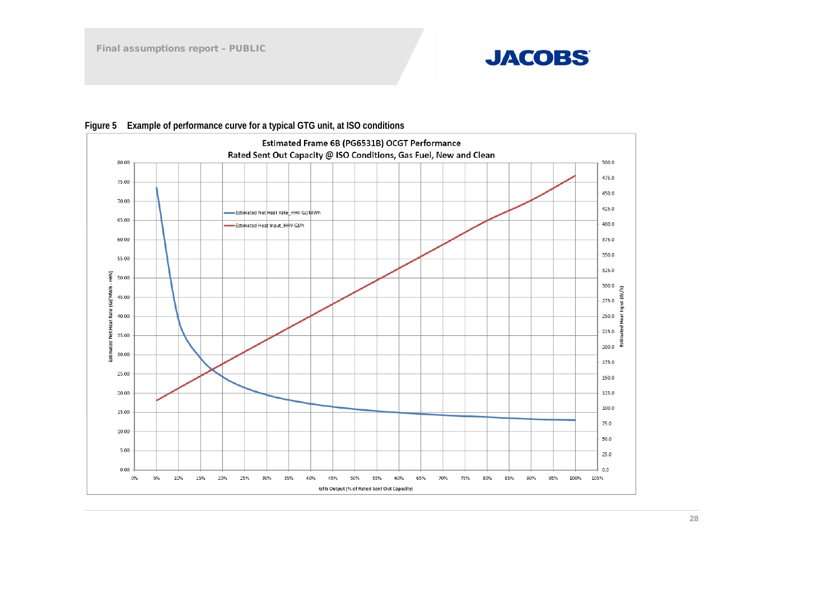# **JACOBS**

<span id="page-27-0"></span>

## **Figure 5 Example of performance curve for a typical GTG unit, at ISO conditions**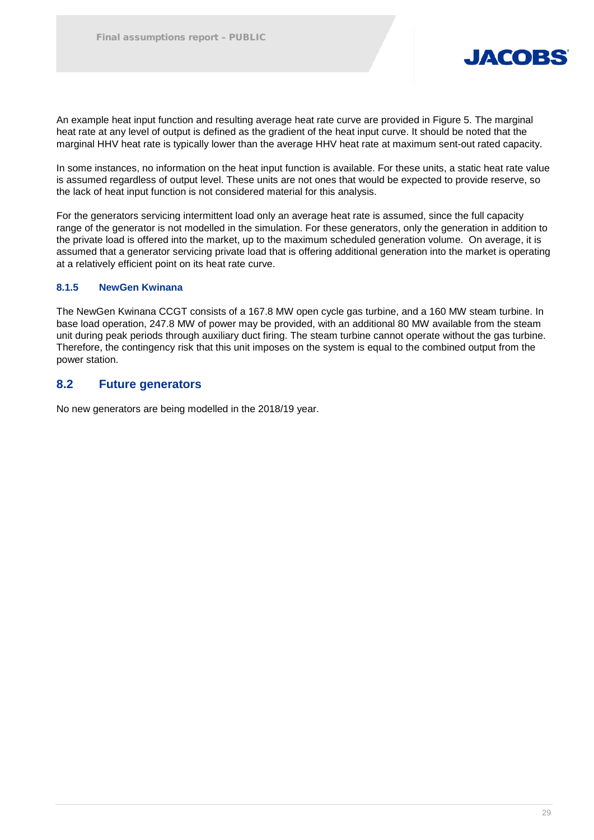

An example heat input function and resulting average heat rate curve are provided in [Figure 5.](#page-27-0) The marginal heat rate at any level of output is defined as the gradient of the heat input curve. It should be noted that the marginal HHV heat rate is typically lower than the average HHV heat rate at maximum sent-out rated capacity.

In some instances, no information on the heat input function is available. For these units, a static heat rate value is assumed regardless of output level. These units are not ones that would be expected to provide reserve, so the lack of heat input function is not considered material for this analysis.

For the generators servicing intermittent load only an average heat rate is assumed, since the full capacity range of the generator is not modelled in the simulation. For these generators, only the generation in addition to the private load is offered into the market, up to the maximum scheduled generation volume. On average, it is assumed that a generator servicing private load that is offering additional generation into the market is operating at a relatively efficient point on its heat rate curve.

#### **8.1.5 NewGen Kwinana**

The NewGen Kwinana CCGT consists of a 167.8 MW open cycle gas turbine, and a 160 MW steam turbine. In base load operation, 247.8 MW of power may be provided, with an additional 80 MW available from the steam unit during peak periods through auxiliary duct firing. The steam turbine cannot operate without the gas turbine. Therefore, the contingency risk that this unit imposes on the system is equal to the combined output from the power station.

## **8.2 Future generators**

No new generators are being modelled in the 2018/19 year.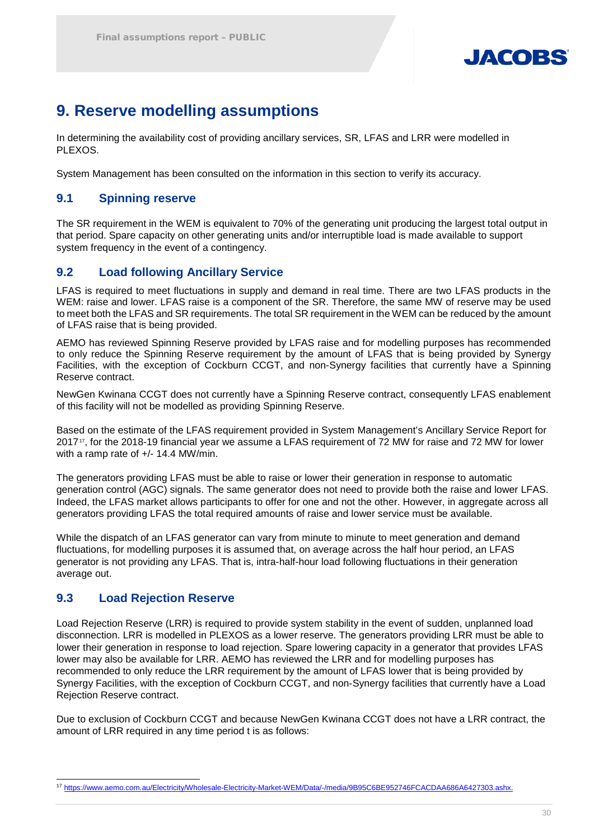

# **9. Reserve modelling assumptions**

In determining the availability cost of providing ancillary services, SR, LFAS and LRR were modelled in PLEXOS.

System Management has been consulted on the information in this section to verify its accuracy.

## **9.1 Spinning reserve**

The SR requirement in the WEM is equivalent to 70% of the generating unit producing the largest total output in that period. Spare capacity on other generating units and/or interruptible load is made available to support system frequency in the event of a contingency.

## <span id="page-29-0"></span>**9.2 Load following Ancillary Service**

LFAS is required to meet fluctuations in supply and demand in real time. There are two LFAS products in the WEM: raise and lower. LFAS raise is a component of the SR. Therefore, the same MW of reserve may be used to meet both the LFAS and SR requirements. The total SR requirement in the WEM can be reduced by the amount of LFAS raise that is being provided.

AEMO has reviewed Spinning Reserve provided by LFAS raise and for modelling purposes has recommended to only reduce the Spinning Reserve requirement by the amount of LFAS that is being provided by Synergy Facilities, with the exception of Cockburn CCGT, and non-Synergy facilities that currently have a Spinning Reserve contract.

NewGen Kwinana CCGT does not currently have a Spinning Reserve contract, consequently LFAS enablement of this facility will not be modelled as providing Spinning Reserve.

Based on the estimate of the LFAS requirement provided in System Management's Ancillary Service Report for 2017[17,](#page-29-1) for the 2018-19 financial year we assume a LFAS requirement of 72 MW for raise and 72 MW for lower with a ramp rate of +/- 14.4 MW/min.

The generators providing LFAS must be able to raise or lower their generation in response to automatic generation control (AGC) signals. The same generator does not need to provide both the raise and lower LFAS. Indeed, the LFAS market allows participants to offer for one and not the other. However, in aggregate across all generators providing LFAS the total required amounts of raise and lower service must be available.

While the dispatch of an LFAS generator can vary from minute to minute to meet generation and demand fluctuations, for modelling purposes it is assumed that, on average across the half hour period, an LFAS generator is not providing any LFAS. That is, intra-half-hour load following fluctuations in their generation average out.

## **9.3 Load Rejection Reserve**

Load Rejection Reserve (LRR) is required to provide system stability in the event of sudden, unplanned load disconnection. LRR is modelled in PLEXOS as a lower reserve. The generators providing LRR must be able to lower their generation in response to load rejection. Spare lowering capacity in a generator that provides LFAS lower may also be available for LRR. AEMO has reviewed the LRR and for modelling purposes has recommended to only reduce the LRR requirement by the amount of LFAS lower that is being provided by Synergy Facilities, with the exception of Cockburn CCGT, and non-Synergy facilities that currently have a Load Rejection Reserve contract.

Due to exclusion of Cockburn CCGT and because NewGen Kwinana CCGT does not have a LRR contract, the amount of LRR required in any time period t is as follows:

<span id="page-29-1"></span> <sup>17</sup> https://www.aemo.com.au/Electricity/Wholesale-Electricity-Market-WEM/Data/-/media/9B95C6BE952746FCACDAA686A6427303.ashx.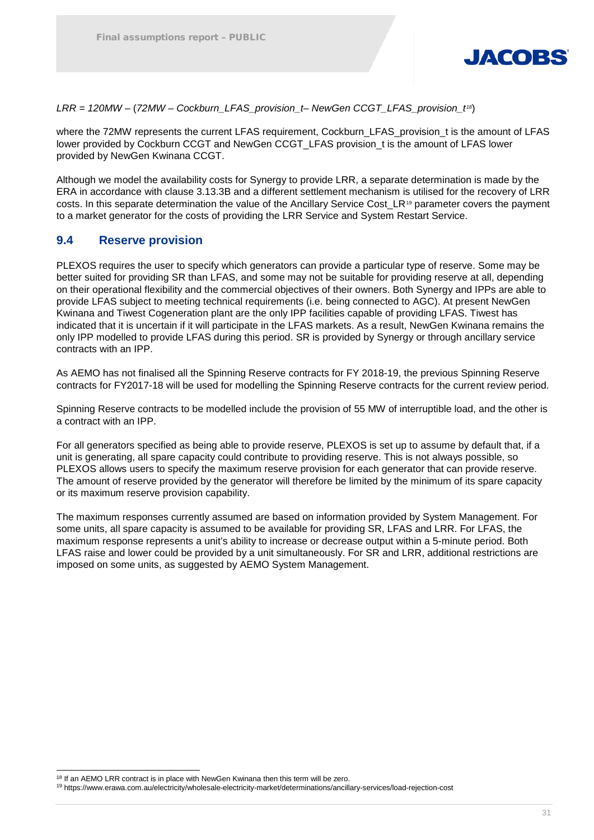

#### *LRR* = *120MW* – (*72MW – Cockburn\_LFAS\_provision\_t– NewGen CCGT\_LFAS\_provision\_t [18](#page-30-0)*)

where the 72MW represents the current LFAS requirement, Cockburn\_LFAS\_provision\_t is the amount of LFAS lower provided by Cockburn CCGT and NewGen CCGT\_LFAS provision\_t is the amount of LFAS lower provided by NewGen Kwinana CCGT.

Although we model the availability costs for Synergy to provide LRR, a separate determination is made by the ERA in accordance with clause 3.13.3B and a different settlement mechanism is utilised for the recovery of LRR costs. In this separate determination the value of the Ancillary Service Cost\_LR[19](#page-30-1) parameter covers the payment to a market generator for the costs of providing the LRR Service and System Restart Service.

## **9.4 Reserve provision**

PLEXOS requires the user to specify which generators can provide a particular type of reserve. Some may be better suited for providing SR than LFAS, and some may not be suitable for providing reserve at all, depending on their operational flexibility and the commercial objectives of their owners. Both Synergy and IPPs are able to provide LFAS subject to meeting technical requirements (i.e. being connected to AGC). At present NewGen Kwinana and Tiwest Cogeneration plant are the only IPP facilities capable of providing LFAS. Tiwest has indicated that it is uncertain if it will participate in the LFAS markets. As a result, NewGen Kwinana remains the only IPP modelled to provide LFAS during this period. SR is provided by Synergy or through ancillary service contracts with an IPP.

As AEMO has not finalised all the Spinning Reserve contracts for FY 2018-19, the previous Spinning Reserve contracts for FY2017-18 will be used for modelling the Spinning Reserve contracts for the current review period.

Spinning Reserve contracts to be modelled include the provision of 55 MW of interruptible load, and the other is a contract with an IPP.

For all generators specified as being able to provide reserve, PLEXOS is set up to assume by default that, if a unit is generating, all spare capacity could contribute to providing reserve. This is not always possible, so PLEXOS allows users to specify the maximum reserve provision for each generator that can provide reserve. The amount of reserve provided by the generator will therefore be limited by the minimum of its spare capacity or its maximum reserve provision capability.

The maximum responses currently assumed are based on information provided by System Management. For some units, all spare capacity is assumed to be available for providing SR, LFAS and LRR. For LFAS, the maximum response represents a unit's ability to increase or decrease output within a 5-minute period. Both LFAS raise and lower could be provided by a unit simultaneously. For SR and LRR, additional restrictions are imposed on some units, as suggested by AEMO System Management.

<span id="page-30-0"></span><sup>&</sup>lt;sup>18</sup> If an AEMO LRR contract is in place with NewGen Kwinana then this term will be zero.

<span id="page-30-1"></span><sup>19</sup> https://www.erawa.com.au/electricity/wholesale-electricity-market/determinations/ancillary-services/load-rejection-cost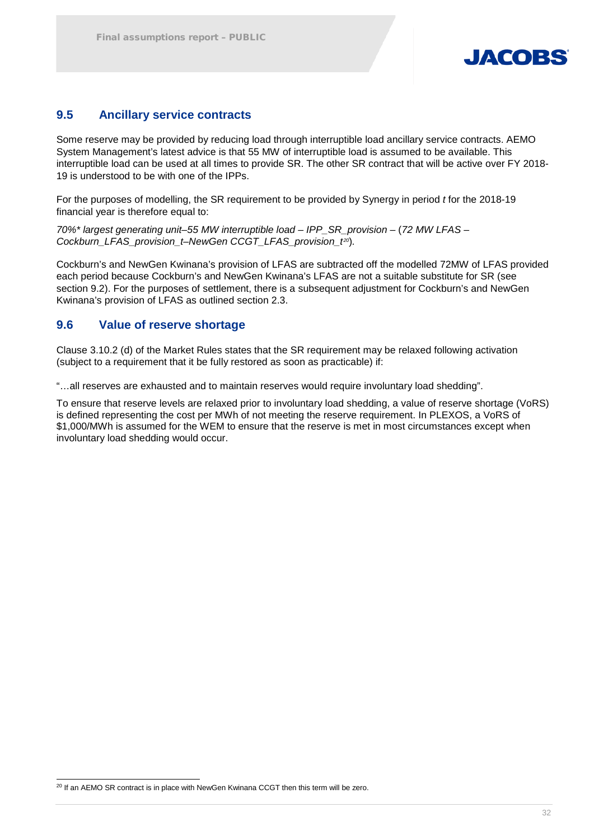

## **9.5 Ancillary service contracts**

Some reserve may be provided by reducing load through interruptible load ancillary service contracts. AEMO System Management's latest advice is that 55 MW of interruptible load is assumed to be available. This interruptible load can be used at all times to provide SR. The other SR contract that will be active over FY 2018- 19 is understood to be with one of the IPPs.

For the purposes of modelling, the SR requirement to be provided by Synergy in period *t* for the 2018-19 financial year is therefore equal to:

*70%\* largest generating unit–55 MW interruptible load – IPP\_SR\_provision –* (*72 MW LFAS – Cockburn\_LFAS\_provision\_t–NewGen CCGT\_LFAS\_provision\_t[20](#page-31-0)*)*.*

Cockburn's and NewGen Kwinana's provision of LFAS are subtracted off the modelled 72MW of LFAS provided each period because Cockburn's and NewGen Kwinana's LFAS are not a suitable substitute for SR (see section [9.2\)](#page-29-0). For the purposes of settlement, there is a subsequent adjustment for Cockburn's and NewGen Kwinana's provision of LFAS as outlined section 2.3.

## **9.6 Value of reserve shortage**

Clause 3.10.2 (d) of the Market Rules states that the SR requirement may be relaxed following activation (subject to a requirement that it be fully restored as soon as practicable) if:

"…all reserves are exhausted and to maintain reserves would require involuntary load shedding".

To ensure that reserve levels are relaxed prior to involuntary load shedding, a value of reserve shortage (VoRS) is defined representing the cost per MWh of not meeting the reserve requirement. In PLEXOS, a VoRS of \$1,000/MWh is assumed for the WEM to ensure that the reserve is met in most circumstances except when involuntary load shedding would occur.

<span id="page-31-0"></span><sup>&</sup>lt;sup>20</sup> If an AEMO SR contract is in place with NewGen Kwinana CCGT then this term will be zero.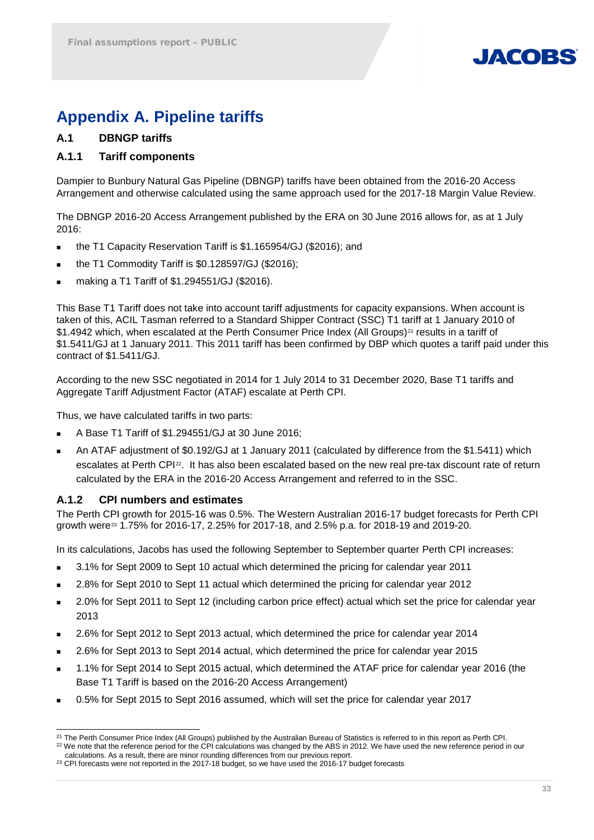

# <span id="page-32-0"></span>**Appendix A. Pipeline tariffs**

#### **A.1 DBNGP tariffs**

#### **A.1.1 Tariff components**

Dampier to Bunbury Natural Gas Pipeline (DBNGP) tariffs have been obtained from the 2016-20 Access Arrangement and otherwise calculated using the same approach used for the 2017-18 Margin Value Review.

The DBNGP 2016-20 Access Arrangement published by the ERA on 30 June 2016 allows for, as at 1 July 2016:

- the T1 Capacity Reservation Tariff is \$1.165954/GJ (\$2016); and
- the T1 Commodity Tariff is \$0.128597/GJ (\$2016);
- making a T1 Tariff of \$1.294551/GJ (\$2016).

This Base T1 Tariff does not take into account tariff adjustments for capacity expansions. When account is taken of this, ACIL Tasman referred to a Standard Shipper Contract (SSC) T1 tariff at 1 January 2010 of \$1.4942 which, when escalated at the Perth Consumer Price Index (All Groups)<sup>[21](#page-32-1)</sup> results in a tariff of \$1.5411/GJ at 1 January 2011. This 2011 tariff has been confirmed by DBP which quotes a tariff paid under this contract of \$1.5411/GJ.

According to the new SSC negotiated in 2014 for 1 July 2014 to 31 December 2020, Base T1 tariffs and Aggregate Tariff Adjustment Factor (ATAF) escalate at Perth CPI.

Thus, we have calculated tariffs in two parts:

- A Base T1 Tariff of \$1.294551/GJ at 30 June 2016;
- An ATAF adjustment of \$0.192/GJ at 1 January 2011 (calculated by difference from the \$1.5411) which escalates at Perth CPI<sup>22</sup>. It has also been escalated based on the new real pre-tax discount rate of return calculated by the ERA in the 2016-20 Access Arrangement and referred to in the SSC.

#### **A.1.2 CPI numbers and estimates**

The Perth CPI growth for 2015-16 was 0.5%. The Western Australian 2016-17 budget forecasts for Perth CPI growth were<sup>[23](#page-32-3)</sup> 1.75% for 2016-17, 2.25% for 2017-18, and 2.5% p.a. for 2018-19 and 2019-20.

In its calculations, Jacobs has used the following September to September quarter Perth CPI increases:

- 3.1% for Sept 2009 to Sept 10 actual which determined the pricing for calendar year 2011
- 2.8% for Sept 2010 to Sept 11 actual which determined the pricing for calendar year 2012
- 2.0% for Sept 2011 to Sept 12 (including carbon price effect) actual which set the price for calendar year 2013
- 2.6% for Sept 2012 to Sept 2013 actual, which determined the price for calendar year 2014
- 2.6% for Sept 2013 to Sept 2014 actual, which determined the price for calendar year 2015
- 1.1% for Sept 2014 to Sept 2015 actual, which determined the ATAF price for calendar year 2016 (the Base T1 Tariff is based on the 2016-20 Access Arrangement)
- 0.5% for Sept 2015 to Sept 2016 assumed, which will set the price for calendar year 2017

<span id="page-32-2"></span><span id="page-32-1"></span><sup>&</sup>lt;sup>21</sup> The Perth Consumer Price Index (All Groups) published by the Australian Bureau of Statistics is referred to in this report as Perth CPI.<br><sup>22</sup> We note that the reference period for the CPI calculations was changed by

<span id="page-32-3"></span> $23$  CPI forecasts were not reported in the 2017-18 budget, so we have used the 2016-17 budget forecasts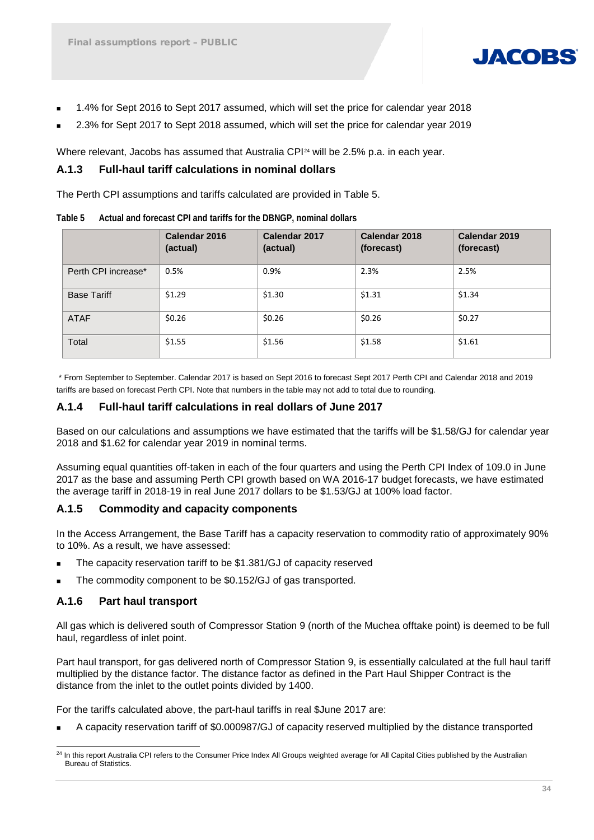

- 1.4% for Sept 2016 to Sept 2017 assumed, which will set the price for calendar year 2018
- 2.3% for Sept 2017 to Sept 2018 assumed, which will set the price for calendar year 2019

Where relevant, Jacobs has assumed that Australia CPI<sup>[24](#page-33-1)</sup> will be 2.5% p.a. in each year.

#### **A.1.3 Full-haul tariff calculations in nominal dollars**

The Perth CPI assumptions and tariffs calculated are provided in [Table 5.](#page-33-0)

<span id="page-33-0"></span>

|  | Table 5 | Actual and forecast CPI and tariffs for the DBNGP, nominal dollars |
|--|---------|--------------------------------------------------------------------|
|--|---------|--------------------------------------------------------------------|

|                     | Calendar 2016<br>(actual) | Calendar 2017<br>(actual) | Calendar 2018<br>(forecast) | Calendar 2019<br>(forecast) |
|---------------------|---------------------------|---------------------------|-----------------------------|-----------------------------|
| Perth CPI increase* | 0.5%                      | 0.9%                      | 2.3%                        | 2.5%                        |
| <b>Base Tariff</b>  | \$1.29                    | \$1.30                    | \$1.31                      | \$1.34                      |
| <b>ATAF</b>         | \$0.26                    | \$0.26                    | \$0.26                      | \$0.27                      |
| Total               | \$1.55                    | \$1.56                    | \$1.58                      | \$1.61                      |

\* From September to September. Calendar 2017 is based on Sept 2016 to forecast Sept 2017 Perth CPI and Calendar 2018 and 2019 tariffs are based on forecast Perth CPI. Note that numbers in the table may not add to total due to rounding.

#### **A.1.4 Full-haul tariff calculations in real dollars of June 2017**

Based on our calculations and assumptions we have estimated that the tariffs will be \$1.58/GJ for calendar year 2018 and \$1.62 for calendar year 2019 in nominal terms.

Assuming equal quantities off-taken in each of the four quarters and using the Perth CPI Index of 109.0 in June 2017 as the base and assuming Perth CPI growth based on WA 2016-17 budget forecasts, we have estimated the average tariff in 2018-19 in real June 2017 dollars to be \$1.53/GJ at 100% load factor.

#### **A.1.5 Commodity and capacity components**

In the Access Arrangement, the Base Tariff has a capacity reservation to commodity ratio of approximately 90% to 10%. As a result, we have assessed:

- The capacity reservation tariff to be \$1.381/GJ of capacity reserved
- The commodity component to be \$0.152/GJ of gas transported.

#### **A.1.6 Part haul transport**

All gas which is delivered south of Compressor Station 9 (north of the Muchea offtake point) is deemed to be full haul, regardless of inlet point.

Part haul transport, for gas delivered north of Compressor Station 9, is essentially calculated at the full haul tariff multiplied by the distance factor. The distance factor as defined in the Part Haul Shipper Contract is the distance from the inlet to the outlet points divided by 1400.

For the tariffs calculated above, the part-haul tariffs in real \$June 2017 are:

A capacity reservation tariff of \$0.000987/GJ of capacity reserved multiplied by the distance transported

<span id="page-33-1"></span><sup>&</sup>lt;sup>24</sup> In this report Australia CPI refers to the Consumer Price Index All Groups weighted average for All Capital Cities published by the Australian Bureau of Statistics.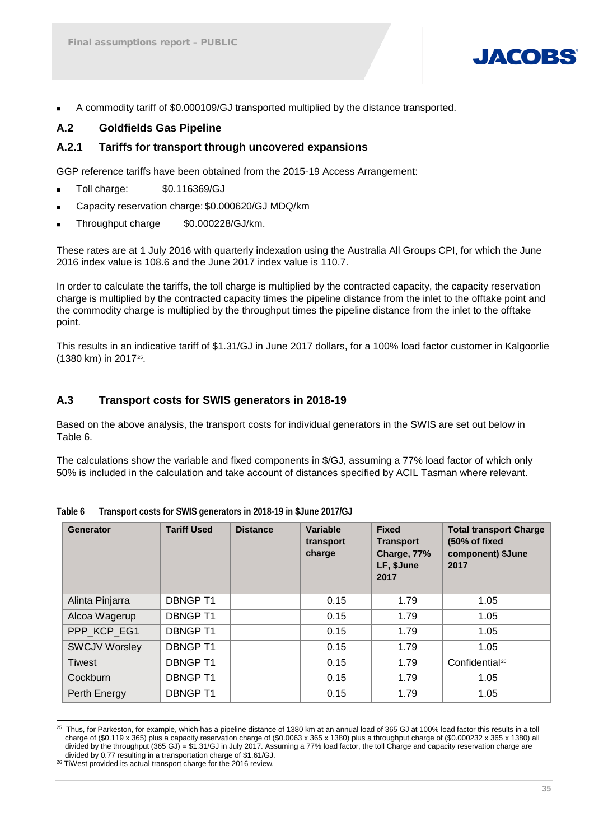

A commodity tariff of \$0.000109/GJ transported multiplied by the distance transported.

#### **A.2 Goldfields Gas Pipeline**

#### **A.2.1 Tariffs for transport through uncovered expansions**

GGP reference tariffs have been obtained from the 2015-19 Access Arrangement:

- Toll charge: \$0.116369/GJ
- Capacity reservation charge: \$0.000620/GJ MDQ/km
- Throughput charge \$0.000228/GJ/km.

These rates are at 1 July 2016 with quarterly indexation using the Australia All Groups CPI, for which the June 2016 index value is 108.6 and the June 2017 index value is 110.7.

In order to calculate the tariffs, the toll charge is multiplied by the contracted capacity, the capacity reservation charge is multiplied by the contracted capacity times the pipeline distance from the inlet to the offtake point and the commodity charge is multiplied by the throughput times the pipeline distance from the inlet to the offtake point.

This results in an indicative tariff of \$1.31/GJ in June 2017 dollars, for a 100% load factor customer in Kalgoorlie (1380 km) in 2017[25](#page-34-1).

#### **A.3 Transport costs for SWIS generators in 2018-19**

Based on the above analysis, the transport costs for individual generators in the SWIS are set out below in [Table 6.](#page-34-0)

The calculations show the variable and fixed components in \$/GJ, assuming a 77% load factor of which only 50% is included in the calculation and take account of distances specified by ACIL Tasman where relevant.

| Generator            | <b>Tariff Used</b> | <b>Distance</b> | Variable<br>transport<br>charge | <b>Fixed</b><br><b>Transport</b><br>Charge, 77%<br>LF, \$June<br>2017 | <b>Total transport Charge</b><br>(50% of fixed<br>component) \$June<br>2017 |
|----------------------|--------------------|-----------------|---------------------------------|-----------------------------------------------------------------------|-----------------------------------------------------------------------------|
| Alinta Pinjarra      | <b>DBNGPT1</b>     |                 | 0.15                            | 1.79                                                                  | 1.05                                                                        |
| Alcoa Wagerup        | <b>DBNGPT1</b>     |                 | 0.15                            | 1.79                                                                  | 1.05                                                                        |
| PPP KCP EG1          | <b>DBNGPT1</b>     |                 | 0.15                            | 1.79                                                                  | 1.05                                                                        |
| <b>SWCJV Worsley</b> | <b>DBNGPT1</b>     |                 | 0.15                            | 1.79                                                                  | 1.05                                                                        |
| <b>Tiwest</b>        | <b>DBNGPT1</b>     |                 | 0.15                            | 1.79                                                                  | Confidential <sup>26</sup>                                                  |
| Cockburn             | <b>DBNGPT1</b>     |                 | 0.15                            | 1.79                                                                  | 1.05                                                                        |
| Perth Energy         | <b>DBNGPT1</b>     |                 | 0.15                            | 1.79                                                                  | 1.05                                                                        |

<span id="page-34-0"></span>**Table 6 Transport costs for SWIS generators in 2018-19 in \$June 2017/GJ**

<span id="page-34-1"></span><sup>&</sup>lt;sup>25</sup> Thus, for Parkeston, for example, which has a pipeline distance of 1380 km at an annual load of 365 GJ at 100% load factor this results in a toll charge of (\$0.119 x 365) plus a capacity reservation charge of (\$0.0063 x 365 x 1380) plus a throughput charge of (\$0.000232 x 365 x 1380) all divided by the throughput (365 GJ) = \$1.31/GJ in July 2017. Assuming a 77% load factor, the toll Charge and capacity reservation charge are divided by 0.77 resulting in a transportation charge of \$1.61/GJ.

<span id="page-34-2"></span><sup>&</sup>lt;sup>26</sup> TiWest provided its actual transport charge for the 2016 review.